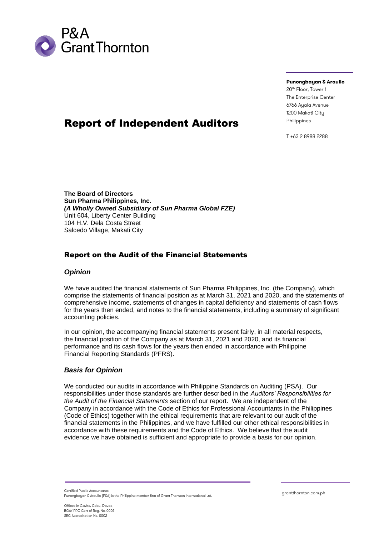

**Punongbayan & Araullo**

20th Floor, Tower 1 The Enterprise Center 6766 Ayala Avenue 1200 Makati City Philippines

T +63 2 8988 2288

# Report of Independent Auditors

**The Board of Directors Sun Pharma Philippines, Inc.** *(A Wholly Owned Subsidiary of Sun Pharma Global FZE)* Unit 604, Liberty Center Building 104 H.V. Dela Costa Street Salcedo Village, Makati City

## Report on the Audit of the Financial Statements

## *Opinion*

We have audited the financial statements of Sun Pharma Philippines, Inc. (the Company), which comprise the statements of financial position as at March 31, 2021 and 2020, and the statements of comprehensive income, statements of changes in capital deficiency and statements of cash flows for the years then ended, and notes to the financial statements, including a summary of significant accounting policies.

In our opinion, the accompanying financial statements present fairly, in all material respects, the financial position of the Company as at March 31, 2021 and 2020, and its financial performance and its cash flows for the years then ended in accordance with Philippine Financial Reporting Standards (PFRS).

## *Basis for Opinion*

We conducted our audits in accordance with Philippine Standards on Auditing (PSA). Our responsibilities under those standards are further described in the *Auditors' Responsibilities for the Audit of the Financial Statements* section of our report. We are independent of the Company in accordance with the Code of Ethics for Professional Accountants in the Philippines (Code of Ethics) together with the ethical requirements that are relevant to our audit of the financial statements in the Philippines, and we have fulfilled our other ethical responsibilities in accordance with these requirements and the Code of Ethics. We believe that the audit evidence we have obtained is sufficient and appropriate to provide a basis for our opinion.

Certified Public Accountants Punongbayan & Araullo (P&A) is the Philippine member firm of Grant Thornton International Ltd.

grantthornton.com.ph

Offices in Cavite, Cebu, Davao BOA/ PRC Cert of Reg. No. 0002 SEC Accreditation No. 0002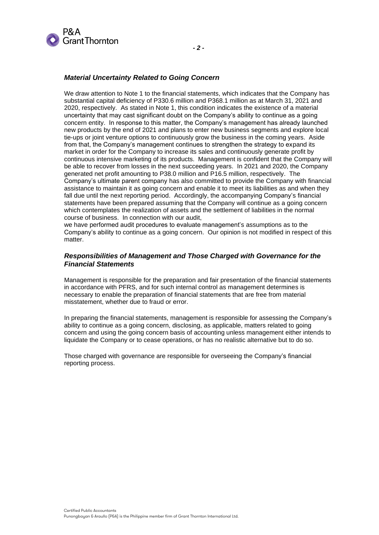

### *Material Uncertainty Related to Going Concern*

We draw attention to Note 1 to the financial statements, which indicates that the Company has substantial capital deficiency of P330.6 million and P368.1 million as at March 31, 2021 and 2020, respectively. As stated in Note 1, this condition indicates the existence of a material uncertainty that may cast significant doubt on the Company's ability to continue as a going concern entity. In response to this matter, the Company's management has already launched new products by the end of 2021 and plans to enter new business segments and explore local tie-ups or joint venture options to continuously grow the business in the coming years. Aside from that, the Company's management continues to strengthen the strategy to expand its market in order for the Company to increase its sales and continuously generate profit by continuous intensive marketing of its products. Management is confident that the Company will be able to recover from losses in the next succeeding years. In 2021 and 2020, the Company generated net profit amounting to P38.0 million and P16.5 million, respectively. The Company's ultimate parent company has also committed to provide the Company with financial assistance to maintain it as going concern and enable it to meet its liabilities as and when they fall due until the next reporting period. Accordingly, the accompanying Company's financial statements have been prepared assuming that the Company will continue as a going concern which contemplates the realization of assets and the settlement of liabilities in the normal course of business. In connection with our audit,

we have performed audit procedures to evaluate management's assumptions as to the Company's ability to continue as a going concern. Our opinion is not modified in respect of this matter.

#### *Responsibilities of Management and Those Charged with Governance for the Financial Statements*

Management is responsible for the preparation and fair presentation of the financial statements in accordance with PFRS, and for such internal control as management determines is necessary to enable the preparation of financial statements that are free from material misstatement, whether due to fraud or error.

In preparing the financial statements, management is responsible for assessing the Company's ability to continue as a going concern, disclosing, as applicable, matters related to going concern and using the going concern basis of accounting unless management either intends to liquidate the Company or to cease operations, or has no realistic alternative but to do so.

Those charged with governance are responsible for overseeing the Company's financial reporting process.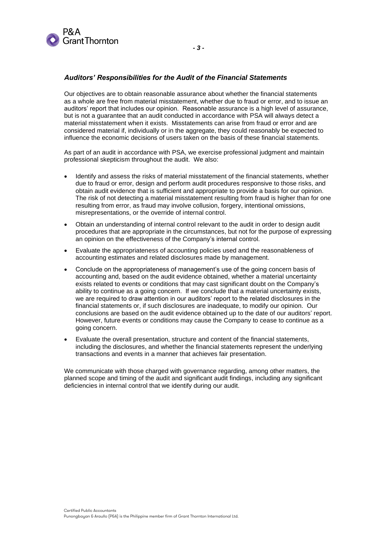

### *Auditors' Responsibilities for the Audit of the Financial Statements*

Our objectives are to obtain reasonable assurance about whether the financial statements as a whole are free from material misstatement, whether due to fraud or error, and to issue an auditors' report that includes our opinion. Reasonable assurance is a high level of assurance, but is not a guarantee that an audit conducted in accordance with PSA will always detect a material misstatement when it exists. Misstatements can arise from fraud or error and are considered material if, individually or in the aggregate, they could reasonably be expected to influence the economic decisions of users taken on the basis of these financial statements.

As part of an audit in accordance with PSA, we exercise professional judgment and maintain professional skepticism throughout the audit. We also:

- Identify and assess the risks of material misstatement of the financial statements, whether due to fraud or error, design and perform audit procedures responsive to those risks, and obtain audit evidence that is sufficient and appropriate to provide a basis for our opinion. The risk of not detecting a material misstatement resulting from fraud is higher than for one resulting from error, as fraud may involve collusion, forgery, intentional omissions, misrepresentations, or the override of internal control.
- Obtain an understanding of internal control relevant to the audit in order to design audit procedures that are appropriate in the circumstances, but not for the purpose of expressing an opinion on the effectiveness of the Company's internal control.
- Evaluate the appropriateness of accounting policies used and the reasonableness of accounting estimates and related disclosures made by management.
- Conclude on the appropriateness of management's use of the going concern basis of accounting and, based on the audit evidence obtained, whether a material uncertainty exists related to events or conditions that may cast significant doubt on the Company's ability to continue as a going concern. If we conclude that a material uncertainty exists, we are required to draw attention in our auditors' report to the related disclosures in the financial statements or, if such disclosures are inadequate, to modify our opinion. Our conclusions are based on the audit evidence obtained up to the date of our auditors' report. However, future events or conditions may cause the Company to cease to continue as a going concern.
- Evaluate the overall presentation, structure and content of the financial statements, including the disclosures, and whether the financial statements represent the underlying transactions and events in a manner that achieves fair presentation.

We communicate with those charged with governance regarding, among other matters, the planned scope and timing of the audit and significant audit findings, including any significant deficiencies in internal control that we identify during our audit.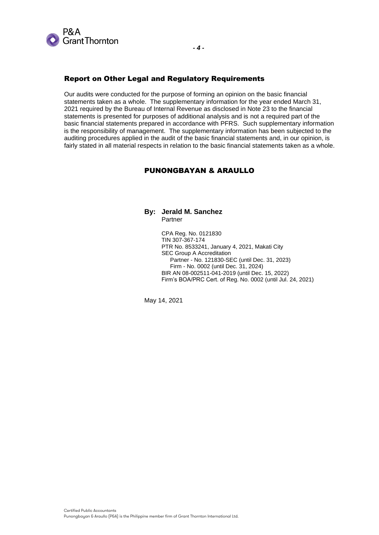

#### Report on Other Legal and Regulatory Requirements

Our audits were conducted for the purpose of forming an opinion on the basic financial statements taken as a whole. The supplementary information for the year ended March 31, 2021 required by the Bureau of Internal Revenue as disclosed in Note 23 to the financial statements is presented for purposes of additional analysis and is not a required part of the basic financial statements prepared in accordance with PFRS. Such supplementary information is the responsibility of management. The supplementary information has been subjected to the auditing procedures applied in the audit of the basic financial statements and, in our opinion, is fairly stated in all material respects in relation to the basic financial statements taken as a whole.

### PUNONGBAYAN & ARAULLO

#### **By: Jerald M. Sanchez** Partner

CPA Reg. No. 0121830 TIN 307-367-174 PTR No. 8533241, January 4, 2021, Makati City SEC Group A Accreditation Partner - No. 121830-SEC (until Dec. 31, 2023) Firm - No. 0002 (until Dec. 31, 2024) BIR AN 08-002511-041-2019 (until Dec. 15, 2022) Firm's BOA/PRC Cert. of Reg. No. 0002 (until Jul. 24, 2021)

May 14, 2021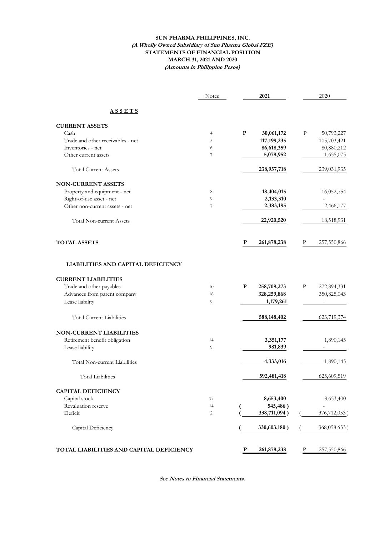#### **SUN PHARMA PHILIPPINES, INC. (A Wholly Owned Subsidiary of Sun Pharma Global FZE) STATEMENTS OF FINANCIAL POSITION MARCH 31, 2021 AND 2020 (Amounts in Philippine Pesos)**

|                                           | <b>Notes</b>   | 2021                       |              | 2020         |
|-------------------------------------------|----------------|----------------------------|--------------|--------------|
| ASSETS                                    |                |                            |              |              |
| <b>CURRENT ASSETS</b>                     |                |                            |              |              |
| Cash                                      | $\overline{4}$ | $\mathbf{P}$<br>30,061,172 | Р            | 50,793,227   |
| Trade and other receivables - net         | 5              | 117, 199, 235              |              | 105,703,421  |
| Inventories - net                         | 6              | 86,618,359                 |              | 80,880,212   |
| Other current assets                      | 7              | 5,078,952                  |              | 1,655,075    |
| <b>Total Current Assets</b>               |                | 238,957,718                |              | 239,031,935  |
| <b>NON-CURRENT ASSETS</b>                 |                |                            |              |              |
| Property and equipment - net              | 8              | 18,404,015                 |              | 16,052,754   |
| Right-of-use asset - net                  | 9              | 2,133,310                  |              |              |
| Other non-current assets - net            | 7              | 2,383,195                  |              | 2,466,177    |
| <b>Total Non-current Assets</b>           |                | 22,920,520                 |              | 18,518,931   |
| <b>TOTAL ASSETS</b>                       |                | P<br>261,878,238           | P            | 257,550,866  |
| <b>LIABILITIES AND CAPITAL DEFICIENCY</b> |                |                            |              |              |
| <b>CURRENT LIABILITIES</b>                |                |                            |              |              |
| Trade and other payables                  | 10             | ${\bf P}$<br>258,709,273   | P            | 272,894,331  |
| Advances from parent company              | 16             | 328,259,868                |              | 350,825,043  |
| Lease liability                           | 9              | 1,179,261                  |              |              |
| Total Current Liabilities                 |                | 588,148,402                |              | 623,719,374  |
| <b>NON-CURRENT LIABILITIES</b>            |                |                            |              |              |
| Retirement benefit obligation             | 14             | 3,351,177                  |              | 1,890,145    |
| Lease liability                           | 9              | 981,839                    |              |              |
| Total Non-current Liabilities             |                | 4,333,016                  |              | 1,890,145    |
| <b>Total Liabilities</b>                  |                | 592,481,418                |              | 625,609,519  |
| <b>CAPITAL DEFICIENCY</b>                 |                |                            |              |              |
| Capital stock                             | 17             | 8,653,400                  |              | 8,653,400    |
| Revaluation reserve                       | 14             | 545,486)                   |              |              |
| Deficit                                   | $\overline{c}$ | 338,711,094)               |              | 376,712,053  |
| Capital Deficiency                        |                | 330,603,180)               |              | 368,058,653) |
| TOTAL LIABILITIES AND CAPITAL DEFICIENCY  |                | P<br>261,878,238           | $\mathbf{P}$ | 257,550,866  |
|                                           |                |                            |              |              |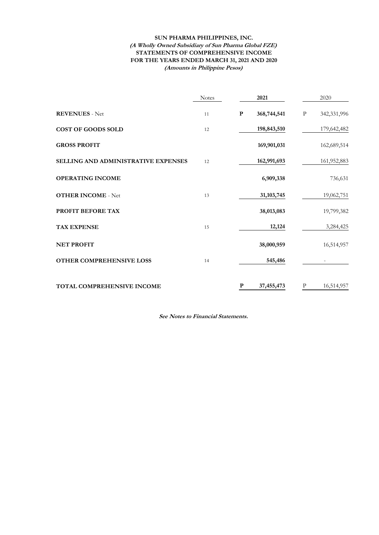#### **(Amounts in Philippine Pesos) SUN PHARMA PHILIPPINES, INC. (A Wholly Owned Subsidiary of Sun Pharma Global FZE) STATEMENTS OF COMPREHENSIVE INCOME FOR THE YEARS ENDED MARCH 31, 2021 AND 2020**

|                                            | <b>Notes</b> |              | 2021         |             | 2020        |
|--------------------------------------------|--------------|--------------|--------------|-------------|-------------|
| <b>REVENUES</b> - Net                      | 11           | $\mathbf{P}$ | 368,744,541  | $\mathbf p$ | 342,331,996 |
| <b>COST OF GOODS SOLD</b>                  | 12           |              | 198,843,510  |             | 179,642,482 |
| <b>GROSS PROFIT</b>                        |              |              | 169,901,031  |             | 162,689,514 |
| <b>SELLING AND ADMINISTRATIVE EXPENSES</b> | 12           |              | 162,991,693  |             | 161,952,883 |
| <b>OPERATING INCOME</b>                    |              |              | 6,909,338    |             | 736,631     |
| <b>OTHER INCOME - Net</b>                  | 13           |              | 31, 103, 745 |             | 19,062,751  |
| PROFIT BEFORE TAX                          |              |              | 38,013,083   |             | 19,799,382  |
| <b>TAX EXPENSE</b>                         | 15           |              | 12,124       |             | 3,284,425   |
| <b>NET PROFIT</b>                          |              |              | 38,000,959   |             | 16,514,957  |
| OTHER COMPREHENSIVE LOSS                   | 14           |              | 545,486      |             |             |
| TOTAL COMPREHENSIVE INCOME                 |              | P            | 37,455,473   | P           | 16,514,957  |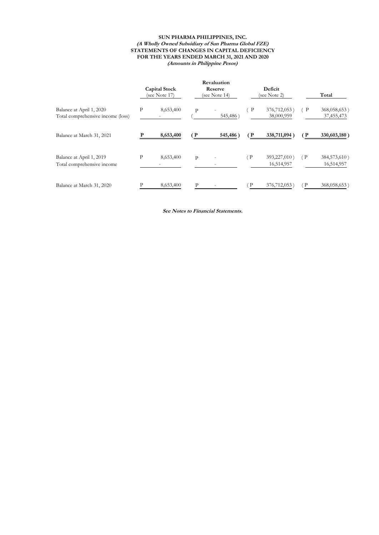#### **SUN PHARMA PHILIPPINES, INC. (A Wholly Owned Subsidiary of Sun Pharma Global FZE) STATEMENTS OF CHANGES IN CAPITAL DEFICIENCY FOR THE YEARS ENDED MARCH 31, 2021 AND 2020 (Amounts in Philippine Pesos)**

|                                                               | Revaluation<br><b>Capital Stock</b><br>Reserve<br>(see Note 17)<br>(see Note 14) |           | Deficit<br>(see Note 2) |          | Total        |                            |             |                            |
|---------------------------------------------------------------|----------------------------------------------------------------------------------|-----------|-------------------------|----------|--------------|----------------------------|-------------|----------------------------|
| Balance at April 1, 2020<br>Total comprehensive income (loss) | P                                                                                | 8,653,400 | P                       | 545,486) | (P)          | 376,712,053)<br>38,000,959 | (P)         | 368,058,653)<br>37,455,473 |
| Balance at March 31, 2021                                     | Р                                                                                | 8,653,400 | (P)                     | 545,486  | (P           | 338,711,094                | (P          | 330,603,180)               |
| Balance at April 1, 2019<br>Total comprehensive income        | P                                                                                | 8,653,400 | $\mathbf{p}$            |          | $($ P        | 393,227,010)<br>16,514,957 | $($ $P$     | 384,573,610)<br>16,514,957 |
| Balance at March 31, 2020                                     |                                                                                  | 8,653,400 | P                       |          | $\mathbf{P}$ | 376,712,053                | $\mathbf P$ | 368,058,653)               |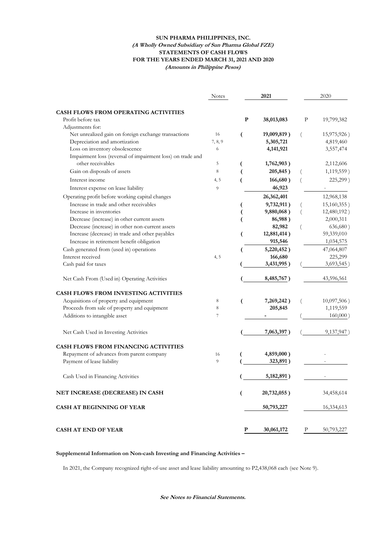#### **SUN PHARMA PHILIPPINES, INC. (A Wholly Owned Subsidiary of Sun Pharma Global FZE) STATEMENTS OF CASH FLOWS FOR THE YEARS ENDED MARCH 31, 2021 AND 2020 (Amounts in Philippine Pesos)**

| Notes                                                      |                  |              | 2021        |   | 2020           |
|------------------------------------------------------------|------------------|--------------|-------------|---|----------------|
| <b>CASH FLOWS FROM OPERATING ACTIVITIES</b>                |                  |              |             |   |                |
| Profit before tax                                          |                  | ${\bf P}$    | 38,013,083  | Р | 19,799,382     |
| Adjustments for:                                           |                  |              |             |   |                |
| Net unrealized gain on foreign exchange transactions       | 16               | (            | 19,009,819) | ( | 15,975,926)    |
| Depreciation and amortization                              | 7, 8, 9          |              | 5,305,721   |   | 4,819,460      |
| Loss on inventory obsolescence                             | 6                |              | 4,141,921   |   | 3,557,474      |
| Impairment loss (reversal of impairment loss) on trade and |                  |              |             |   |                |
| other receivables                                          | 5                | (            | 1,762,903)  |   | 2,112,606      |
| Gain on disposals of assets                                | $\,8\,$          |              | 205,845)    |   | 1,119,559)     |
| Interest income                                            | 4, 5             |              | 166,680)    |   | 225,299)       |
| Interest expense on lease liability                        | 9                |              | 46,923      |   |                |
| Operating profit before working capital changes            |                  |              | 26,362,401  |   | 12,968,138     |
| Increase in trade and other receivables                    |                  |              | 9,732,911)  |   | 15,160,355)    |
| Increase in inventories                                    |                  |              | 9,880,068)  |   | 12,480,192)    |
| Decrease (increase) in other current assets                |                  |              | 86,988)     |   | 2,000,311      |
| Decrease (increase) in other non-current assets            |                  |              | 82,982      | ( | 636,680)       |
| Increase (decrease) in trade and other payables            |                  |              | 12,881,414) |   | 59,339,010     |
| Increase in retirement benefit obligation                  |                  |              | 915,546     |   | 1,034,575      |
| Cash generated from (used in) operations                   |                  |              | 5,220,452)  |   | 47,064,807     |
| Interest received                                          | 4, 5             |              | 166,680     |   | 225,299        |
| Cash paid for taxes                                        |                  |              | 3,431,995)  |   | 3,693,545)     |
| Net Cash From (Used in) Operating Activities               |                  |              | 8,485,767)  |   | 43,596,561     |
| CASH FLOWS FROM INVESTING ACTIVITIES                       |                  |              |             |   |                |
| Acquisitions of property and equipment                     | 8                | (            | 7,269,242)  |   | $10,097,506$ ) |
| Proceeds from sale of property and equipment               | 8                |              | 205,845     |   | 1,119,559      |
| Additions to intangible asset                              | $\boldsymbol{7}$ |              |             |   | 160,000        |
| Net Cash Used in Investing Activities                      |                  |              | 7,063,397)  |   | 9,137,947      |
| <b>CASH FLOWS FROM FINANCING ACTIVITIES</b>                |                  |              |             |   |                |
| Repayment of advances from parent company                  | 16               |              | 4,859,000)  |   |                |
| Payment of lease liability                                 | 9                |              | 323,891)    |   |                |
| Cash Used in Financing Activities                          |                  |              | 5,182,891)  |   |                |
| NET INCREASE (DECREASE) IN CASH                            |                  | €            | 20,732,055) |   | 34,458,614     |
| <b>CASH AT BEGINNING OF YEAR</b>                           |                  |              | 50,793,227  |   | 16,334,613     |
| CASH AT END OF YEAR                                        |                  | $\mathbf{P}$ | 30,061,172  | Ρ | 50,793,227     |

#### **Supplemental Information on Non-cash Investing and Financing Activities –**

In 2021, the Company recognized right-of-use asset and lease liability amounting to P2,438,068 each (see Note 9).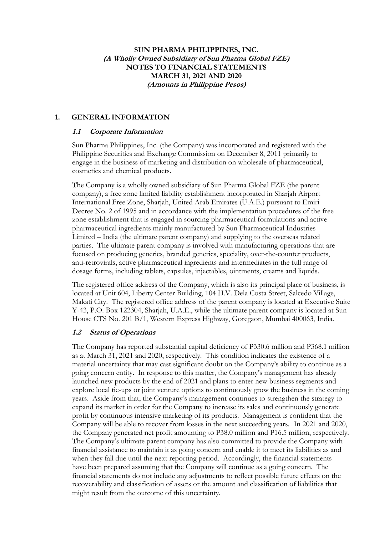## **SUN PHARMA PHILIPPINES, INC. (A Wholly Owned Subsidiary of Sun Pharma Global FZE) NOTES TO FINANCIAL STATEMENTS MARCH 31, 2021 AND 2020 (Amounts in Philippine Pesos)**

## **1. GENERAL INFORMATION**

### **1.1 Corporate Information**

Sun Pharma Philippines, Inc. (the Company) was incorporated and registered with the Philippine Securities and Exchange Commission on December 8, 2011 primarily to engage in the business of marketing and distribution on wholesale of pharmaceutical, cosmetics and chemical products.

The Company is a wholly owned subsidiary of Sun Pharma Global FZE (the parent company), a free zone limited liability establishment incorporated in Sharjah Airport International Free Zone, Sharjah, United Arab Emirates (U.A.E.) pursuant to Emiri Decree No. 2 of 1995 and in accordance with the implementation procedures of the free zone establishment that is engaged in sourcing pharmaceutical formulations and active pharmaceutical ingredients mainly manufactured by Sun Pharmaceutical Industries Limited – India (the ultimate parent company) and supplying to the overseas related parties. The ultimate parent company is involved with manufacturing operations that are focused on producing generics, branded generics, speciality, over-the-counter products, anti-retrovirals, active pharmaceutical ingredients and intermediates in the full range of dosage forms, including tablets, capsules, injectables, ointments, creams and liquids.

The registered office address of the Company, which is also its principal place of business, is located at Unit 604, Liberty Center Building, 104 H.V. Dela Costa Street, Salcedo Village, Makati City. The registered office address of the parent company is located at Executive Suite Y-43, P.O. Box 122304, Sharjah, U.A.E., while the ultimate parent company is located at Sun House CTS No. 201 B/1, Western Express Highway, Goregaon, Mumbai 400063, India.

## **1.2 Status of Operations**

The Company has reported substantial capital deficiency of P330.6 million and P368.1 million as at March 31, 2021 and 2020, respectively. This condition indicates the existence of a material uncertainty that may cast significant doubt on the Company's ability to continue as a going concern entity. In response to this matter, the Company's management has already launched new products by the end of 2021 and plans to enter new business segments and explore local tie-ups or joint venture options to continuously grow the business in the coming years. Aside from that, the Company's management continues to strengthen the strategy to expand its market in order for the Company to increase its sales and continuously generate profit by continuous intensive marketing of its products. Management is confident that the Company will be able to recover from losses in the next succeeding years. In 2021 and 2020, the Company generated net profit amounting to P38.0 million and P16.5 million, respectively. The Company's ultimate parent company has also committed to provide the Company with financial assistance to maintain it as going concern and enable it to meet its liabilities as and when they fall due until the next reporting period. Accordingly, the financial statements have been prepared assuming that the Company will continue as a going concern. The financial statements do not include any adjustments to reflect possible future effects on the recoverability and classification of assets or the amount and classification of liabilities that might result from the outcome of this uncertainty.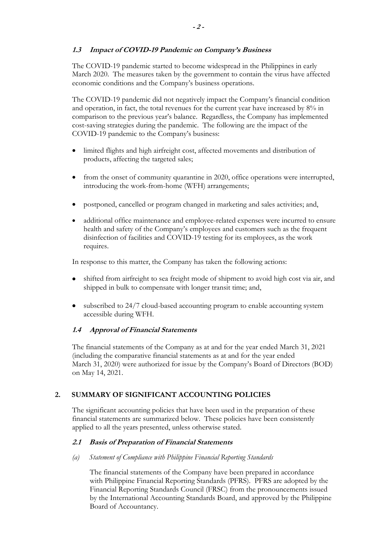## **1.3 Impact of COVID-19 Pandemic on Company's Business**

The COVID-19 pandemic started to become widespread in the Philippines in early March 2020. The measures taken by the government to contain the virus have affected economic conditions and the Company's business operations.

The COVID-19 pandemic did not negatively impact the Company's financial condition and operation, in fact, the total revenues for the current year have increased by 8% in comparison to the previous year's balance. Regardless, the Company has implemented cost-saving strategies during the pandemic. The following are the impact of the COVID-19 pandemic to the Company's business:

- limited flights and high airfreight cost, affected movements and distribution of products, affecting the targeted sales;
- from the onset of community quarantine in 2020, office operations were interrupted, introducing the work-from-home (WFH) arrangements;
- postponed, cancelled or program changed in marketing and sales activities; and,
- additional office maintenance and employee-related expenses were incurred to ensure health and safety of the Company's employees and customers such as the frequent disinfection of facilities and COVID-19 testing for its employees, as the work requires.

In response to this matter, the Company has taken the following actions:

- shifted from airfreight to sea freight mode of shipment to avoid high cost via air, and shipped in bulk to compensate with longer transit time; and,
- subscribed to 24/7 cloud-based accounting program to enable accounting system accessible during WFH.

## **1.4 Approval of Financial Statements**

The financial statements of the Company as at and for the year ended March 31, 2021 (including the comparative financial statements as at and for the year ended March 31, 2020) were authorized for issue by the Company's Board of Directors (BOD) on May 14, 2021.

## **2. SUMMARY OF SIGNIFICANT ACCOUNTING POLICIES**

The significant accounting policies that have been used in the preparation of these financial statements are summarized below. These policies have been consistently applied to all the years presented, unless otherwise stated.

### **2.1 Basis of Preparation of Financial Statements**

#### *(a) Statement of Compliance with Philippine Financial Reporting Standards*

The financial statements of the Company have been prepared in accordance with Philippine Financial Reporting Standards (PFRS). PFRS are adopted by the Financial Reporting Standards Council (FRSC) from the pronouncements issued by the International Accounting Standards Board, and approved by the Philippine Board of Accountancy.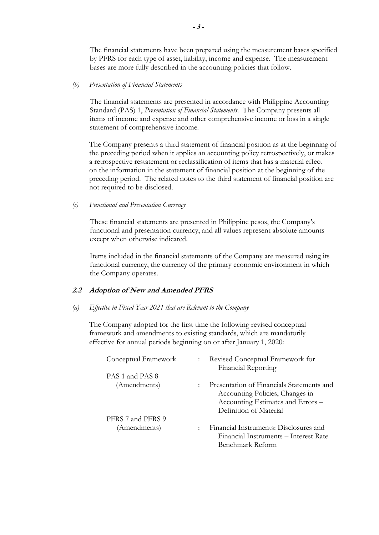The financial statements have been prepared using the measurement bases specified by PFRS for each type of asset, liability, income and expense. The measurement bases are more fully described in the accounting policies that follow.

*(b) Presentation of Financial Statements*

The financial statements are presented in accordance with Philippine Accounting Standard (PAS) 1, *Presentation of Financial Statements*. The Company presents all items of income and expense and other comprehensive income or loss in a single statement of comprehensive income.

The Company presents a third statement of financial position as at the beginning of the preceding period when it applies an accounting policy retrospectively, or makes a retrospective restatement or reclassification of items that has a material effect on the information in the statement of financial position at the beginning of the preceding period. The related notes to the third statement of financial position are not required to be disclosed.

*(c) Functional and Presentation Currency*

These financial statements are presented in Philippine pesos, the Company's functional and presentation currency, and all values represent absolute amounts except when otherwise indicated.

Items included in the financial statements of the Company are measured using its functional currency, the currency of the primary economic environment in which the Company operates.

## **2.2 Adoption of New and Amended PFRS**

*(a) Effective in Fiscal Year 2021 that are Relevant to the Company*

The Company adopted for the first time the following revised conceptual framework and amendments to existing standards, which are mandatorily effective for annual periods beginning on or after January 1, 2020:

| Conceptual Framework |               | : Revised Conceptual Framework for<br><b>Financial Reporting</b>                                                                            |
|----------------------|---------------|---------------------------------------------------------------------------------------------------------------------------------------------|
| PAS 1 and PAS 8      |               |                                                                                                                                             |
| (Amendments)         | ٠             | Presentation of Financials Statements and<br>Accounting Policies, Changes in<br>Accounting Estimates and Errors -<br>Definition of Material |
| PFRS 7 and PFRS 9    |               |                                                                                                                                             |
| (Amendments)         | $\mathcal{L}$ | Financial Instruments: Disclosures and<br>Financial Instruments – Interest Rate<br>Benchmark Reform                                         |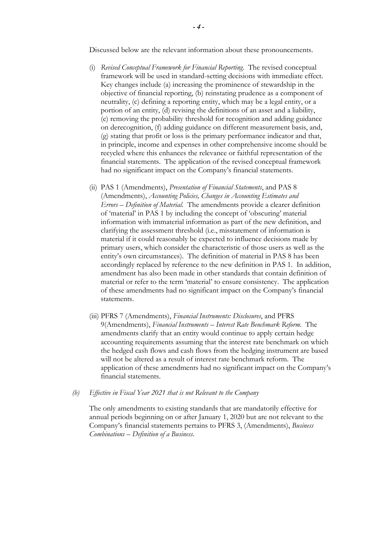Discussed below are the relevant information about these pronouncements.

- (i) *Revised Conceptual Framework for Financial Reporting*. The revised conceptual framework will be used in standard-setting decisions with immediate effect. Key changes include (a) increasing the prominence of stewardship in the objective of financial reporting, (b) reinstating prudence as a component of neutrality, (c) defining a reporting entity, which may be a legal entity, or a portion of an entity, (d) revising the definitions of an asset and a liability, (e) removing the probability threshold for recognition and adding guidance on derecognition, (f) adding guidance on different measurement basis, and, (g) stating that profit or loss is the primary performance indicator and that, in principle, income and expenses in other comprehensive income should be recycled where this enhances the relevance or faithful representation of the financial statements. The application of the revised conceptual framework had no significant impact on the Company's financial statements.
- (ii) PAS 1 (Amendments), *Presentation of Financial Statements*, and PAS 8 (Amendments), *Accounting Policies, Changes in Accounting Estimates and Errors – Definition of Material*.The amendments provide a clearer definition of 'material' in PAS 1 by including the concept of 'obscuring' material information with immaterial information as part of the new definition, and clarifying the assessment threshold (i.e., misstatement of information is material if it could reasonably be expected to influence decisions made by primary users, which consider the characteristic of those users as well as the entity's own circumstances). The definition of material in PAS 8 has been accordingly replaced by reference to the new definition in PAS 1. In addition, amendment has also been made in other standards that contain definition of material or refer to the term 'material' to ensure consistency. The application of these amendments had no significant impact on the Company's financial statements.
- (iii) PFRS 7 (Amendments), *Financial Instruments: Disclosures*, and PFRS 9(Amendments), *Financial Instruments – Interest Rate Benchmark Reform*. The amendments clarify that an entity would continue to apply certain hedge accounting requirements assuming that the interest rate benchmark on which the hedged cash flows and cash flows from the hedging instrument are based will not be altered as a result of interest rate benchmark reform. The application of these amendments had no significant impact on the Company's financial statements.
- *(b) Effective in Fiscal Year 2021 that is not Relevant to the Company*

The only amendments to existing standards that are mandatorily effective for annual periods beginning on or after January 1, 2020 but are not relevant to the Company's financial statements pertains to PFRS 3, (Amendments), *Business Combinations – Definition of a Business*.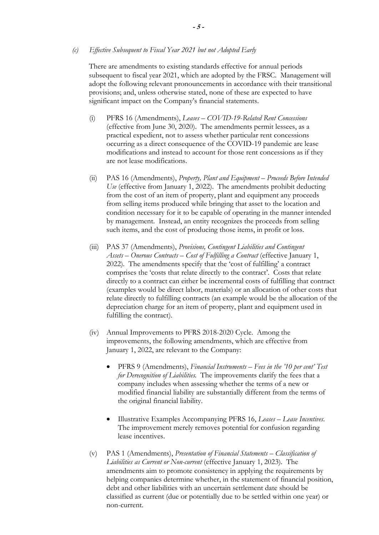*(c) Effective Subsequent to Fiscal Year 2021 but not Adopted Early*

There are amendments to existing standards effective for annual periods subsequent to fiscal year 2021, which are adopted by the FRSC. Management will adopt the following relevant pronouncements in accordance with their transitional provisions; and, unless otherwise stated, none of these are expected to have significant impact on the Company's financial statements.

- (i) PFRS 16 (Amendments), *Leases COVID-19*-*Related Rent Concessions* (effective from June 30, 2020). The amendments permit lessees, as a practical expedient, not to assess whether particular rent concessions occurring as a direct consequence of the COVID-19 pandemic are lease modifications and instead to account for those rent concessions as if they are not lease modifications.
- (ii) PAS 16 (Amendments), *Property, Plant and Equipment – Proceeds Before Intended Use* (effective from January 1, 2022). The amendments prohibit deducting from the cost of an item of property, plant and equipment any proceeds from selling items produced while bringing that asset to the location and condition necessary for it to be capable of operating in the manner intended by management. Instead, an entity recognizes the proceeds from selling such items, and the cost of producing those items, in profit or loss.
- (iii) PAS 37 (Amendments), *Provisions, Contingent Liabilities and Contingent Assets – Onerous Contracts – Cost of Fulfilling a Contract* (effective January 1, 2022)*.* The amendments specify that the 'cost of fulfilling' a contract comprises the 'costs that relate directly to the contract'. Costs that relate directly to a contract can either be incremental costs of fulfilling that contract (examples would be direct labor, materials) or an allocation of other costs that relate directly to fulfilling contracts (an example would be the allocation of the depreciation charge for an item of property, plant and equipment used in fulfilling the contract).
- (iv) Annual Improvements to PFRS 2018-2020 Cycle. Among the improvements, the following amendments, which are effective from January 1, 2022, are relevant to the Company:
	- PFRS 9 (Amendments), *Financial Instruments – Fees in the '10 per cent' Test for Derecognition of Liabilities.* The improvements clarify the fees that a company includes when assessing whether the terms of a new or modified financial liability are substantially different from the terms of the original financial liability.
	- Illustrative Examples Accompanying PFRS 16, *Leases Lease Incentives*. The improvement merely removes potential for confusion regarding lease incentives.
- (v) PAS 1 (Amendments), *Presentation of Financial Statements – Classification of Liabilities as Current or Non-current* (effective January 1, 2023)*.* The amendments aim to promote consistency in applying the requirements by helping companies determine whether, in the statement of financial position, debt and other liabilities with an uncertain settlement date should be classified as current (due or potentially due to be settled within one year) or non-current.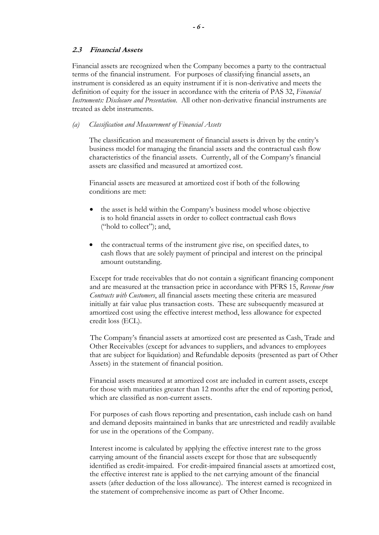### **2.3 Financial Assets**

Financial assets are recognized when the Company becomes a party to the contractual terms of the financial instrument. For purposes of classifying financial assets, an instrument is considered as an equity instrument if it is non-derivative and meets the definition of equity for the issuer in accordance with the criteria of PAS 32, *Financial Instruments: Disclosure and Presentation*. All other non-derivative financial instruments are treated as debt instruments.

### *(a) Classification and Measurement of Financial Assets*

The classification and measurement of financial assets is driven by the entity's business model for managing the financial assets and the contractual cash flow characteristics of the financial assets. Currently, all of the Company's financial assets are classified and measured at amortized cost.

Financial assets are measured at amortized cost if both of the following conditions are met:

- the asset is held within the Company's business model whose objective is to hold financial assets in order to collect contractual cash flows ("hold to collect"); and,
- the contractual terms of the instrument give rise, on specified dates, to cash flows that are solely payment of principal and interest on the principal amount outstanding.

Except for trade receivables that do not contain a significant financing component and are measured at the transaction price in accordance with PFRS 15, *Revenue from Contracts with Customers*, all financial assets meeting these criteria are measured initially at fair value plus transaction costs. These are subsequently measured at amortized cost using the effective interest method, less allowance for expected credit loss (ECL).

The Company's financial assets at amortized cost are presented as Cash, Trade and Other Receivables (except for advances to suppliers, and advances to employees that are subject for liquidation) and Refundable deposits (presented as part of Other Assets) in the statement of financial position.

Financial assets measured at amortized cost are included in current assets, except for those with maturities greater than 12 months after the end of reporting period, which are classified as non-current assets.

For purposes of cash flows reporting and presentation, cash include cash on hand and demand deposits maintained in banks that are unrestricted and readily available for use in the operations of the Company.

Interest income is calculated by applying the effective interest rate to the gross carrying amount of the financial assets except for those that are subsequently identified as credit-impaired. For credit-impaired financial assets at amortized cost, the effective interest rate is applied to the net carrying amount of the financial assets (after deduction of the loss allowance). The interest earned is recognized in the statement of comprehensive income as part of Other Income.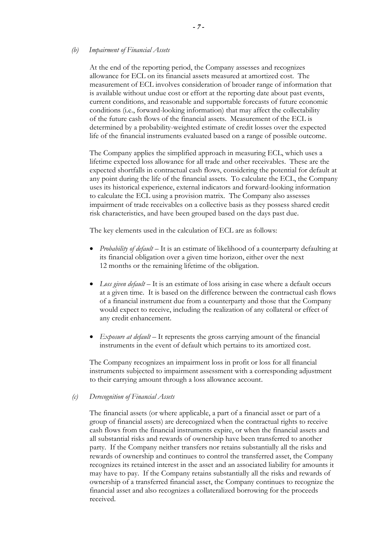#### *(b) Impairment of Financial Assets*

At the end of the reporting period, the Company assesses and recognizes allowance for ECL on its financial assets measured at amortized cost. The measurement of ECL involves consideration of broader range of information that is available without undue cost or effort at the reporting date about past events, current conditions, and reasonable and supportable forecasts of future economic conditions (i.e., forward-looking information) that may affect the collectability of the future cash flows of the financial assets. Measurement of the ECL is determined by a probability-weighted estimate of credit losses over the expected life of the financial instruments evaluated based on a range of possible outcome.

The Company applies the simplified approach in measuring ECL, which uses a lifetime expected loss allowance for all trade and other receivables. These are the expected shortfalls in contractual cash flows, considering the potential for default at any point during the life of the financial assets. To calculate the ECL, the Company uses its historical experience, external indicators and forward-looking information to calculate the ECL using a provision matrix. The Company also assesses impairment of trade receivables on a collective basis as they possess shared credit risk characteristics, and have been grouped based on the days past due.

The key elements used in the calculation of ECL are as follows:

- *Probability of default* It is an estimate of likelihood of a counterparty defaulting at its financial obligation over a given time horizon, either over the next 12 months or the remaining lifetime of the obligation.
- *Loss given default* It is an estimate of loss arising in case where a default occurs at a given time. It is based on the difference between the contractual cash flows of a financial instrument due from a counterparty and those that the Company would expect to receive, including the realization of any collateral or effect of any credit enhancement.
- *Exposure at default* It represents the gross carrying amount of the financial instruments in the event of default which pertains to its amortized cost.

The Company recognizes an impairment loss in profit or loss for all financial instruments subjected to impairment assessment with a corresponding adjustment to their carrying amount through a loss allowance account.

#### *(c) Derecognition of Financial Assets*

The financial assets (or where applicable, a part of a financial asset or part of a group of financial assets) are derecognized when the contractual rights to receive cash flows from the financial instruments expire, or when the financial assets and all substantial risks and rewards of ownership have been transferred to another party. If the Company neither transfers nor retains substantially all the risks and rewards of ownership and continues to control the transferred asset, the Company recognizes its retained interest in the asset and an associated liability for amounts it may have to pay. If the Company retains substantially all the risks and rewards of ownership of a transferred financial asset, the Company continues to recognize the financial asset and also recognizes a collateralized borrowing for the proceeds received.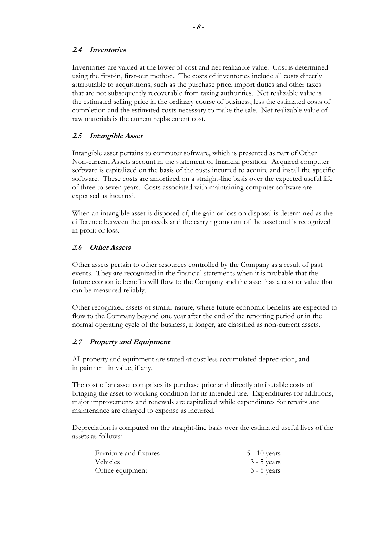## **2.4 Inventories**

Inventories are valued at the lower of cost and net realizable value. Cost is determined using the first-in, first-out method. The costs of inventories include all costs directly attributable to acquisitions, such as the purchase price, import duties and other taxes that are not subsequently recoverable from taxing authorities. Net realizable value is the estimated selling price in the ordinary course of business, less the estimated costs of completion and the estimated costs necessary to make the sale. Net realizable value of raw materials is the current replacement cost.

## **2.5 Intangible Asset**

Intangible asset pertains to computer software, which is presented as part of Other Non-current Assets account in the statement of financial position. Acquired computer software is capitalized on the basis of the costs incurred to acquire and install the specific software. These costs are amortized on a straight-line basis over the expected useful life of three to seven years. Costs associated with maintaining computer software are expensed as incurred.

When an intangible asset is disposed of, the gain or loss on disposal is determined as the difference between the proceeds and the carrying amount of the asset and is recognized in profit or loss.

## **2.6 Other Assets**

Other assets pertain to other resources controlled by the Company as a result of past events. They are recognized in the financial statements when it is probable that the future economic benefits will flow to the Company and the asset has a cost or value that can be measured reliably.

Other recognized assets of similar nature, where future economic benefits are expected to flow to the Company beyond one year after the end of the reporting period or in the normal operating cycle of the business, if longer, are classified as non-current assets.

## **2.7 Property and Equipment**

All property and equipment are stated at cost less accumulated depreciation, and impairment in value, if any.

The cost of an asset comprises its purchase price and directly attributable costs of bringing the asset to working condition for its intended use. Expenditures for additions, major improvements and renewals are capitalized while expenditures for repairs and maintenance are charged to expense as incurred.

Depreciation is computed on the straight-line basis over the estimated useful lives of the assets as follows:

| Furniture and fixtures | $5 - 10$ years |
|------------------------|----------------|
| Vehicles               | $3 - 5$ years  |
| Office equipment       | $3 - 5$ years  |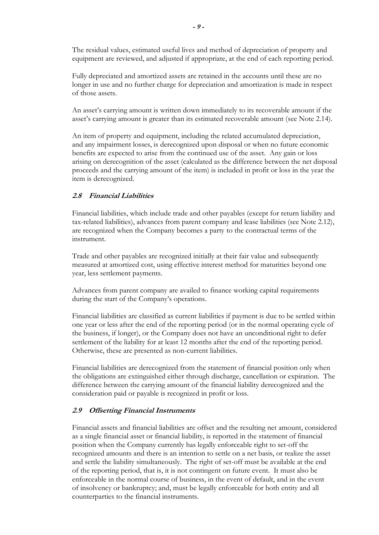The residual values, estimated useful lives and method of depreciation of property and equipment are reviewed, and adjusted if appropriate, at the end of each reporting period.

Fully depreciated and amortized assets are retained in the accounts until these are no longer in use and no further charge for depreciation and amortization is made in respect of those assets.

An asset's carrying amount is written down immediately to its recoverable amount if the asset's carrying amount is greater than its estimated recoverable amount (see Note 2.14).

An item of property and equipment, including the related accumulated depreciation, and any impairment losses, is derecognized upon disposal or when no future economic benefits are expected to arise from the continued use of the asset. Any gain or loss arising on derecognition of the asset (calculated as the difference between the net disposal proceeds and the carrying amount of the item) is included in profit or loss in the year the item is derecognized.

## **2.8 Financial Liabilities**

Financial liabilities, which include trade and other payables (except for return liability and tax-related liabilities), advances from parent company and lease liabilities (see Note 2.12), are recognized when the Company becomes a party to the contractual terms of the instrument.

Trade and other payables are recognized initially at their fair value and subsequently measured at amortized cost, using effective interest method for maturities beyond one year, less settlement payments.

Advances from parent company are availed to finance working capital requirements during the start of the Company's operations.

Financial liabilities are classified as current liabilities if payment is due to be settled within one year or less after the end of the reporting period (or in the normal operating cycle of the business, if longer), or the Company does not have an unconditional right to defer settlement of the liability for at least 12 months after the end of the reporting period. Otherwise, these are presented as non-current liabilities.

Financial liabilities are derecognized from the statement of financial position only when the obligations are extinguished either through discharge, cancellation or expiration. The difference between the carrying amount of the financial liability derecognized and the consideration paid or payable is recognized in profit or loss.

## **2.9 Offsetting Financial Instruments**

Financial assets and financial liabilities are offset and the resulting net amount, considered as a single financial asset or financial liability, is reported in the statement of financial position when the Company currently has legally enforceable right to set-off the recognized amounts and there is an intention to settle on a net basis, or realize the asset and settle the liability simultaneously. The right of set-off must be available at the end of the reporting period, that is, it is not contingent on future event. It must also be enforceable in the normal course of business, in the event of default, and in the event of insolvency or bankruptcy; and, must be legally enforceable for both entity and all counterparties to the financial instruments.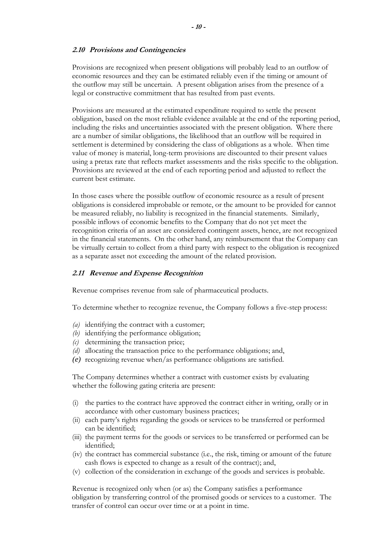## **2.10 Provisions and Contingencies**

Provisions are recognized when present obligations will probably lead to an outflow of economic resources and they can be estimated reliably even if the timing or amount of the outflow may still be uncertain. A present obligation arises from the presence of a legal or constructive commitment that has resulted from past events.

Provisions are measured at the estimated expenditure required to settle the present obligation, based on the most reliable evidence available at the end of the reporting period, including the risks and uncertainties associated with the present obligation. Where there are a number of similar obligations, the likelihood that an outflow will be required in settlement is determined by considering the class of obligations as a whole. When time value of money is material, long-term provisions are discounted to their present values using a pretax rate that reflects market assessments and the risks specific to the obligation. Provisions are reviewed at the end of each reporting period and adjusted to reflect the current best estimate.

In those cases where the possible outflow of economic resource as a result of present obligations is considered improbable or remote, or the amount to be provided for cannot be measured reliably, no liability is recognized in the financial statements. Similarly, possible inflows of economic benefits to the Company that do not yet meet the recognition criteria of an asset are considered contingent assets, hence, are not recognized in the financial statements. On the other hand, any reimbursement that the Company can be virtually certain to collect from a third party with respect to the obligation is recognized as a separate asset not exceeding the amount of the related provision.

### **2.11 Revenue and Expense Recognition**

Revenue comprises revenue from sale of pharmaceutical products.

To determine whether to recognize revenue, the Company follows a five-step process:

- *(a)* identifying the contract with a customer;
- *(b)* identifying the performance obligation;
- *(c)* determining the transaction price;
- *(d)* allocating the transaction price to the performance obligations; and,
- *(e)* recognizing revenue when/as performance obligations are satisfied.

The Company determines whether a contract with customer exists by evaluating whether the following gating criteria are present:

- (i) the parties to the contract have approved the contract either in writing, orally or in accordance with other customary business practices;
- (ii) each party's rights regarding the goods or services to be transferred or performed can be identified;
- (iii) the payment terms for the goods or services to be transferred or performed can be identified;
- (iv) the contract has commercial substance (i.e., the risk, timing or amount of the future cash flows is expected to change as a result of the contract); and,
- (v) collection of the consideration in exchange of the goods and services is probable.

Revenue is recognized only when (or as) the Company satisfies a performance obligation by transferring control of the promised goods or services to a customer. The transfer of control can occur over time or at a point in time.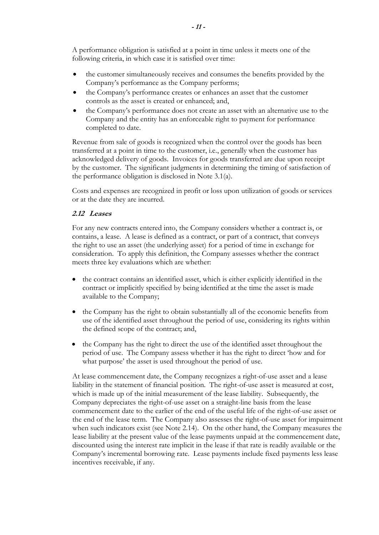A performance obligation is satisfied at a point in time unless it meets one of the following criteria, in which case it is satisfied over time:

- the customer simultaneously receives and consumes the benefits provided by the Company's performance as the Company performs;
- the Company's performance creates or enhances an asset that the customer controls as the asset is created or enhanced; and,
- the Company's performance does not create an asset with an alternative use to the Company and the entity has an enforceable right to payment for performance completed to date.

Revenue from sale of goods is recognized when the control over the goods has been transferred at a point in time to the customer, i.e., generally when the customer has acknowledged delivery of goods. Invoices for goods transferred are due upon receipt by the customer. The significant judgments in determining the timing of satisfaction of the performance obligation is disclosed in Note 3.1(a).

Costs and expenses are recognized in profit or loss upon utilization of goods or services or at the date they are incurred.

## **2.12 Leases**

For any new contracts entered into, the Company considers whether a contract is, or contains, a lease. A lease is defined as a contract, or part of a contract, that conveys the right to use an asset (the underlying asset) for a period of time in exchange for consideration. To apply this definition, the Company assesses whether the contract meets three key evaluations which are whether:

- the contract contains an identified asset, which is either explicitly identified in the contract or implicitly specified by being identified at the time the asset is made available to the Company;
- the Company has the right to obtain substantially all of the economic benefits from use of the identified asset throughout the period of use, considering its rights within the defined scope of the contract; and,
- the Company has the right to direct the use of the identified asset throughout the period of use. The Company assess whether it has the right to direct 'how and for what purpose' the asset is used throughout the period of use.

At lease commencement date, the Company recognizes a right-of-use asset and a lease liability in the statement of financial position. The right-of-use asset is measured at cost, which is made up of the initial measurement of the lease liability. Subsequently, the Company depreciates the right-of-use asset on a straight-line basis from the lease commencement date to the earlier of the end of the useful life of the right-of-use asset or the end of the lease term. The Company also assesses the right-of-use asset for impairment when such indicators exist (see Note 2.14). On the other hand, the Company measures the lease liability at the present value of the lease payments unpaid at the commencement date, discounted using the interest rate implicit in the lease if that rate is readily available or the Company's incremental borrowing rate. Lease payments include fixed payments less lease incentives receivable, if any.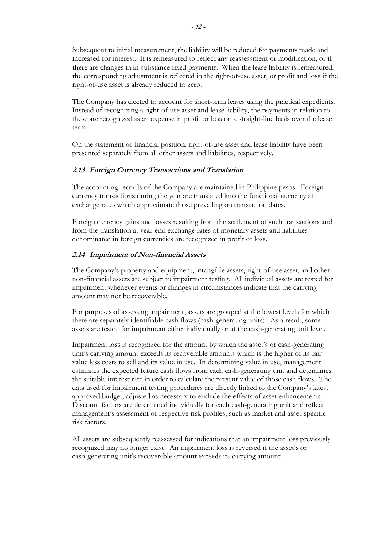Subsequent to initial measurement, the liability will be reduced for payments made and increased for interest. It is remeasured to reflect any reassessment or modification, or if there are changes in in-substance fixed payments. When the lease liability is remeasured, the corresponding adjustment is reflected in the right-of-use asset, or profit and loss if the right-of-use asset is already reduced to zero.

The Company has elected to account for short-term leases using the practical expedients. Instead of recognizing a right-of-use asset and lease liability, the payments in relation to these are recognized as an expense in profit or loss on a straight-line basis over the lease term.

On the statement of financial position, right-of-use asset and lease liability have been presented separately from all other assets and liabilities, respectively.

## **2.13 Foreign Currency Transactions and Translation**

The accounting records of the Company are maintained in Philippine pesos. Foreign currency transactions during the year are translated into the functional currency at exchange rates which approximate those prevailing on transaction dates.

Foreign currency gains and losses resulting from the settlement of such transactions and from the translation at year-end exchange rates of monetary assets and liabilities denominated in foreign currencies are recognized in profit or loss.

### **2.14 Impairment of Non-financial Assets**

The Company's property and equipment, intangible assets, right-of-use asset, and other non-financial assets are subject to impairment testing. All individual assets are tested for impairment whenever events or changes in circumstances indicate that the carrying amount may not be recoverable.

For purposes of assessing impairment, assets are grouped at the lowest levels for which there are separately identifiable cash flows (cash-generating units). As a result, some assets are tested for impairment either individually or at the cash-generating unit level.

Impairment loss is recognized for the amount by which the asset's or cash-generating unit's carrying amount exceeds its recoverable amounts which is the higher of its fair value less costs to sell and its value in use. In determining value in use, management estimates the expected future cash flows from each cash-generating unit and determines the suitable interest rate in order to calculate the present value of those cash flows. The data used for impairment testing procedures are directly linked to the Company's latest approved budget, adjusted as necessary to exclude the effects of asset enhancements. Discount factors are determined individually for each cash-generating unit and reflect management's assessment of respective risk profiles, such as market and asset-specific risk factors.

All assets are subsequently reassessed for indications that an impairment loss previously recognized may no longer exist. An impairment loss is reversed if the asset's or cash-generating unit's recoverable amount exceeds its carrying amount.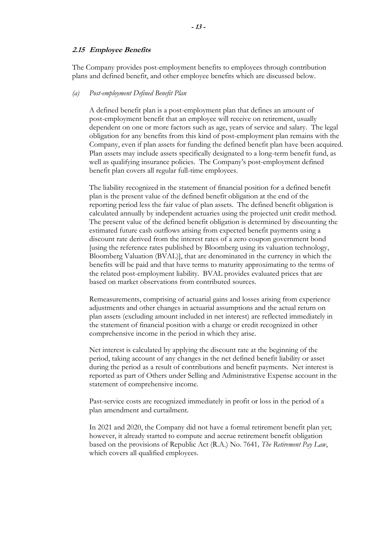#### **2.15 Employee Benefits**

The Company provides post-employment benefits to employees through contribution plans and defined benefit, and other employee benefits which are discussed below.

#### *(a) Post-employment Defined Benefit Plan*

A defined benefit plan is a post-employment plan that defines an amount of post-employment benefit that an employee will receive on retirement, usually dependent on one or more factors such as age, years of service and salary. The legal obligation for any benefits from this kind of post-employment plan remains with the Company, even if plan assets for funding the defined benefit plan have been acquired. Plan assets may include assets specifically designated to a long-term benefit fund, as well as qualifying insurance policies. The Company's post-employment defined benefit plan covers all regular full-time employees.

The liability recognized in the statement of financial position for a defined benefit plan is the present value of the defined benefit obligation at the end of the reporting period less the fair value of plan assets. The defined benefit obligation is calculated annually by independent actuaries using the projected unit credit method. The present value of the defined benefit obligation is determined by discounting the estimated future cash outflows arising from expected benefit payments using a discount rate derived from the interest rates of a zero coupon government bond [using the reference rates published by Bloomberg using its valuation technology, Bloomberg Valuation (BVAL)], that are denominated in the currency in which the benefits will be paid and that have terms to maturity approximating to the terms of the related post-employment liability. BVAL provides evaluated prices that are based on market observations from contributed sources.

Remeasurements, comprising of actuarial gains and losses arising from experience adjustments and other changes in actuarial assumptions and the actual return on plan assets (excluding amount included in net interest) are reflected immediately in the statement of financial position with a charge or credit recognized in other comprehensive income in the period in which they arise.

Net interest is calculated by applying the discount rate at the beginning of the period, taking account of any changes in the net defined benefit liability or asset during the period as a result of contributions and benefit payments. Net interest is reported as part of Others under Selling and Administrative Expense account in the statement of comprehensive income.

Past-service costs are recognized immediately in profit or loss in the period of a plan amendment and curtailment.

In 2021 and 2020, the Company did not have a formal retirement benefit plan yet; however, it already started to compute and accrue retirement benefit obligation based on the provisions of Republic Act (R.A.) No. 7641*, The Retirement Pay Law*, which covers all qualified employees.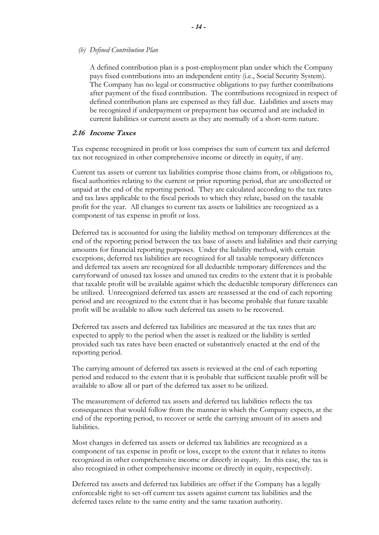#### *(b) Defined Contribution Plan*

A defined contribution plan is a post-employment plan under which the Company pays fixed contributions into an independent entity (i.e., Social Security System). The Company has no legal or constructive obligations to pay further contributions after payment of the fixed contribution. The contributions recognized in respect of defined contribution plans are expensed as they fall due. Liabilities and assets may be recognized if underpayment or prepayment has occurred and are included in current liabilities or current assets as they are normally of a short-term nature.

#### **2.16 Income Taxes**

Tax expense recognized in profit or loss comprises the sum of current tax and deferred tax not recognized in other comprehensive income or directly in equity, if any.

Current tax assets or current tax liabilities comprise those claims from, or obligations to, fiscal authorities relating to the current or prior reporting period, that are uncollected or unpaid at the end of the reporting period. They are calculated according to the tax rates and tax laws applicable to the fiscal periods to which they relate, based on the taxable profit for the year. All changes to current tax assets or liabilities are recognized as a component of tax expense in profit or loss.

Deferred tax is accounted for using the liability method on temporary differences at the end of the reporting period between the tax base of assets and liabilities and their carrying amounts for financial reporting purposes. Under the liability method, with certain exceptions, deferred tax liabilities are recognized for all taxable temporary differences and deferred tax assets are recognized for all deductible temporary differences and the carryforward of unused tax losses and unused tax credits to the extent that it is probable that taxable profit will be available against which the deductible temporary differences can be utilized. Unrecognized deferred tax assets are reassessed at the end of each reporting period and are recognized to the extent that it has become probable that future taxable profit will be available to allow such deferred tax assets to be recovered.

Deferred tax assets and deferred tax liabilities are measured at the tax rates that are expected to apply to the period when the asset is realized or the liability is settled provided such tax rates have been enacted or substantively enacted at the end of the reporting period.

The carrying amount of deferred tax assets is reviewed at the end of each reporting period and reduced to the extent that it is probable that sufficient taxable profit will be available to allow all or part of the deferred tax asset to be utilized.

The measurement of deferred tax assets and deferred tax liabilities reflects the tax consequences that would follow from the manner in which the Company expects, at the end of the reporting period, to recover or settle the carrying amount of its assets and liabilities.

Most changes in deferred tax assets or deferred tax liabilities are recognized as a component of tax expense in profit or loss, except to the extent that it relates to items recognized in other comprehensive income or directly in equity. In this case, the tax is also recognized in other comprehensive income or directly in equity, respectively.

Deferred tax assets and deferred tax liabilities are offset if the Company has a legally enforceable right to set-off current tax assets against current tax liabilities and the deferred taxes relate to the same entity and the same taxation authority.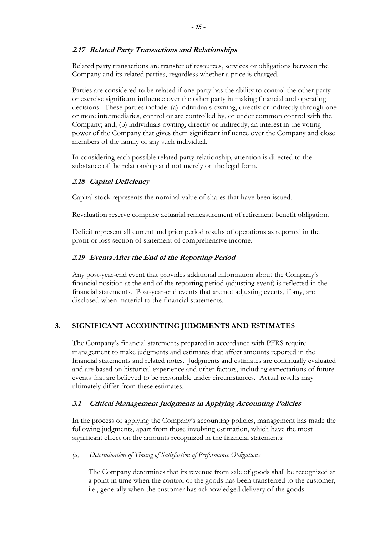## **2.17 Related Party Transactions and Relationships**

Related party transactions are transfer of resources, services or obligations between the Company and its related parties, regardless whether a price is charged.

Parties are considered to be related if one party has the ability to control the other party or exercise significant influence over the other party in making financial and operating decisions. These parties include: (a) individuals owning, directly or indirectly through one or more intermediaries, control or are controlled by, or under common control with the Company; and, (b) individuals owning, directly or indirectly, an interest in the voting power of the Company that gives them significant influence over the Company and close members of the family of any such individual.

In considering each possible related party relationship, attention is directed to the substance of the relationship and not merely on the legal form.

## **2.18 Capital Deficiency**

Capital stock represents the nominal value of shares that have been issued.

Revaluation reserve comprise actuarial remeasurement of retirement benefit obligation.

Deficit represent all current and prior period results of operations as reported in the profit or loss section of statement of comprehensive income.

## **2.19 Events After the End of the Reporting Period**

Any post-year-end event that provides additional information about the Company's financial position at the end of the reporting period (adjusting event) is reflected in the financial statements. Post-year-end events that are not adjusting events, if any, are disclosed when material to the financial statements.

### **3. SIGNIFICANT ACCOUNTING JUDGMENTS AND ESTIMATES**

The Company's financial statements prepared in accordance with PFRS require management to make judgments and estimates that affect amounts reported in the financial statements and related notes. Judgments and estimates are continually evaluated and are based on historical experience and other factors, including expectations of future events that are believed to be reasonable under circumstances. Actual results may ultimately differ from these estimates.

### **3.1 Critical Management Judgments in Applying Accounting Policies**

In the process of applying the Company's accounting policies, management has made the following judgments, apart from those involving estimation, which have the most significant effect on the amounts recognized in the financial statements:

#### *(a) Determination of Timing of Satisfaction of Performance Obligations*

The Company determines that its revenue from sale of goods shall be recognized at a point in time when the control of the goods has been transferred to the customer, i.e., generally when the customer has acknowledged delivery of the goods.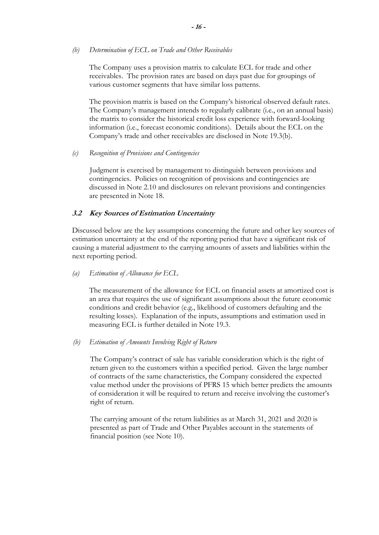#### *(b) Determination of ECL on Trade and Other Receivables*

The Company uses a provision matrix to calculate ECL for trade and other receivables. The provision rates are based on days past due for groupings of various customer segments that have similar loss patterns.

The provision matrix is based on the Company's historical observed default rates. The Company's management intends to regularly calibrate (i.e., on an annual basis) the matrix to consider the historical credit loss experience with forward-looking information (i.e., forecast economic conditions). Details about the ECL on the Company's trade and other receivables are disclosed in Note 19.3(b).

*(c) Recognition of Provisions and Contingencies*

Judgment is exercised by management to distinguish between provisions and contingencies. Policies on recognition of provisions and contingencies are discussed in Note 2.10 and disclosures on relevant provisions and contingencies are presented in Note 18.

#### **3.2 Key Sources of Estimation Uncertainty**

Discussed below are the key assumptions concerning the future and other key sources of estimation uncertainty at the end of the reporting period that have a significant risk of causing a material adjustment to the carrying amounts of assets and liabilities within the next reporting period.

*(a) Estimation of Allowance for ECL*

The measurement of the allowance for ECL on financial assets at amortized cost is an area that requires the use of significant assumptions about the future economic conditions and credit behavior (e.g., likelihood of customers defaulting and the resulting losses). Explanation of the inputs, assumptions and estimation used in measuring ECL is further detailed in Note 19.3.

*(b) Estimation of Amounts Involving Right of Return*

The Company's contract of sale has variable consideration which is the right of return given to the customers within a specified period. Given the large number of contracts of the same characteristics, the Company considered the expected value method under the provisions of PFRS 15 which better predicts the amounts of consideration it will be required to return and receive involving the customer's right of return.

The carrying amount of the return liabilities as at March 31, 2021 and 2020 is presented as part of Trade and Other Payables account in the statements of financial position (see Note 10).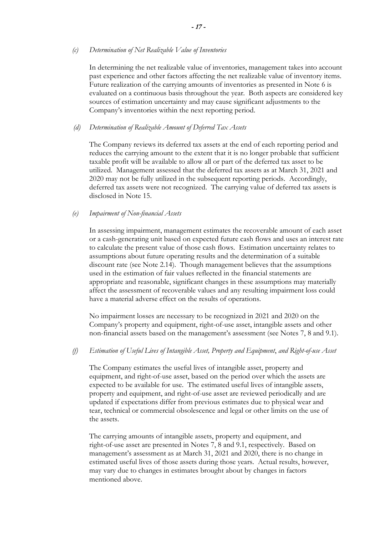#### *(c) Determination of Net Realizable Value of Inventories*

In determining the net realizable value of inventories, management takes into account past experience and other factors affecting the net realizable value of inventory items. Future realization of the carrying amounts of inventories as presented in Note 6 is evaluated on a continuous basis throughout the year. Both aspects are considered key sources of estimation uncertainty and may cause significant adjustments to the Company's inventories within the next reporting period.

#### *(d) Determination of Realizable Amount of Deferred Tax Assets*

The Company reviews its deferred tax assets at the end of each reporting period and reduces the carrying amount to the extent that it is no longer probable that sufficient taxable profit will be available to allow all or part of the deferred tax asset to be utilized. Management assessed that the deferred tax assets as at March 31, 2021 and 2020 may not be fully utilized in the subsequent reporting periods. Accordingly, deferred tax assets were not recognized. The carrying value of deferred tax assets is disclosed in Note 15.

### *(e) Impairment of Non-financial Assets*

In assessing impairment, management estimates the recoverable amount of each asset or a cash-generating unit based on expected future cash flows and uses an interest rate to calculate the present value of those cash flows. Estimation uncertainty relates to assumptions about future operating results and the determination of a suitable discount rate (see Note 2.14). Though management believes that the assumptions used in the estimation of fair values reflected in the financial statements are appropriate and reasonable, significant changes in these assumptions may materially affect the assessment of recoverable values and any resulting impairment loss could have a material adverse effect on the results of operations.

No impairment losses are necessary to be recognized in 2021 and 2020 on the Company's property and equipment, right-of-use asset, intangible assets and other non-financial assets based on the management's assessment (see Notes 7, 8 and 9.1).

#### *(f) Estimation of Useful Lives of Intangible Asset, Property and Equipment*, *and Right-of-use Asset*

The Company estimates the useful lives of intangible asset, property and equipment, and right-of-use asset, based on the period over which the assets are expected to be available for use. The estimated useful lives of intangible assets, property and equipment, and right-of-use asset are reviewed periodically and are updated if expectations differ from previous estimates due to physical wear and tear, technical or commercial obsolescence and legal or other limits on the use of the assets.

The carrying amounts of intangible assets, property and equipment, and right-of-use asset are presented in Notes 7, 8 and 9.1, respectively. Based on management's assessment as at March 31, 2021 and 2020, there is no change in estimated useful lives of those assets during those years. Actual results, however, may vary due to changes in estimates brought about by changes in factors mentioned above.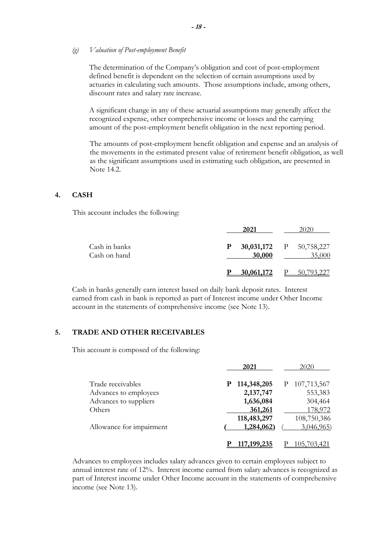#### *(g) Valuation of Post-employment Benefit*

The determination of the Company's obligation and cost of post-employment defined benefit is dependent on the selection of certain assumptions used by actuaries in calculating such amounts. Those assumptions include, among others, discount rates and salary rate increase.

A significant change in any of these actuarial assumptions may generally affect the recognized expense, other comprehensive income or losses and the carrying amount of the post-employment benefit obligation in the next reporting period.

The amounts of post-employment benefit obligation and expense and an analysis of the movements in the estimated present value of retirement benefit obligation, as well as the significant assumptions used in estimating such obligation, are presented in Note 14.2.

### **4. CASH**

This account includes the following:

|                               |   | 2021       |                                          |
|-------------------------------|---|------------|------------------------------------------|
| Cash in banks<br>Cash on hand | P | 30,000     | <b>30,031,172</b> P 50,758,227<br>35,000 |
|                               |   | 30,061,172 | 50.793.227                               |

Cash in banks generally earn interest based on daily bank deposit rates. Interest earned from cash in bank is reported as part of Interest income under Other Income account in the statements of comprehensive income (see Note 13).

#### **5. TRADE AND OTHER RECEIVABLES**

This account is composed of the following:

|                          | 2021             | 2020             |
|--------------------------|------------------|------------------|
| Trade receivables        | 114,348,205<br>P | 107,713,567<br>P |
| Advances to employees    | 2,137,747        | 553,383          |
| Advances to suppliers    | 1,636,084        | 304,464          |
| Others                   | 361,261          | 178,972          |
|                          | 118,483,297      | 108,750,386      |
| Allowance for impairment | 1,284,062)       | 3,046,965)       |
|                          |                  |                  |
|                          | 117,199,235      | 105,703,421      |

Advances to employees includes salary advances given to certain employees subject to annual interest rate of 12%. Interest income earned from salary advances is recognized as part of Interest income under Other Income account in the statements of comprehensive income (see Note 13).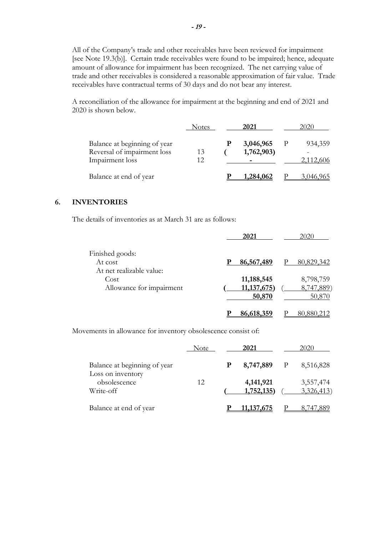All of the Company's trade and other receivables have been reviewed for impairment [see Note 19.3(b)]. Certain trade receivables were found to be impaired; hence, adequate amount of allowance for impairment has been recognized. The net carrying value of trade and other receivables is considered a reasonable approximation of fair value. Trade receivables have contractual terms of 30 days and do not bear any interest.

A reconciliation of the allowance for impairment at the beginning and end of 2021 and 2020 is shown below.

|                                                                                | Notes    |   | 2021                    | 2020                 |
|--------------------------------------------------------------------------------|----------|---|-------------------------|----------------------|
| Balance at beginning of year<br>Reversal of impairment loss<br>Impairment loss | 13<br>12 | P | 3,046,965<br>1,762,903) | 934,359<br>2,112,606 |
| Balance at end of year                                                         |          |   | 1.284.062               | 3.046                |

#### **6. INVENTORIES**

The details of inventories as at March 31 are as follows:

|                          | 2021          | 2020       |
|--------------------------|---------------|------------|
| Finished goods:          |               |            |
| At cost                  | 86,567,489    | 80,829,342 |
| At net realizable value: |               |            |
| Cost                     | 11,188,545    | 8,798,759  |
| Allowance for impairment | 11, 137, 675) | 8,747,889) |
|                          | 50,870        | 50,870     |
|                          | 86,618,359    |            |

Movements in allowance for inventory obsolescence consist of:

|                                                | Note |   | 2021                            | 2020                    |
|------------------------------------------------|------|---|---------------------------------|-------------------------|
| Balance at beginning of year                   |      | P | 8,747,889 P                     | 8,516,828               |
| Loss on inventory<br>obsolescence<br>Write-off | 12   |   | 4,141,921<br><u>1,752,135</u> ) | 3,557,474<br>3,326,413) |
| Balance at end of year                         |      |   | 11, 137, 675                    |                         |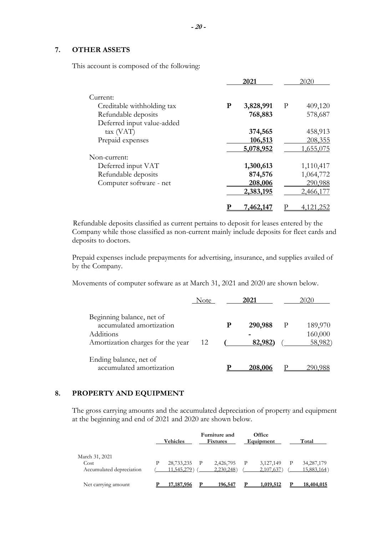### **7. OTHER ASSETS**

This account is composed of the following:

|                            | 2021 |           | 2020 |           |
|----------------------------|------|-----------|------|-----------|
| Current:                   |      |           |      |           |
| Creditable withholding tax | P    | 3,828,991 | P    | 409,120   |
| Refundable deposits        |      | 768,883   |      | 578,687   |
| Deferred input value-added |      |           |      |           |
| $tax$ (VAT)                |      | 374,565   |      | 458,913   |
| Prepaid expenses           |      | 106,513   |      | 208,355   |
|                            |      | 5,078,952 |      | 1,655,075 |
| Non-current:               |      |           |      |           |
| Deferred input VAT         |      | 1,300,613 |      | 1,110,417 |
| Refundable deposits        |      | 874,576   |      | 1,064,772 |
| Computer software - net    |      | 208,006   |      | 290,988   |
|                            |      | 2,383,195 |      | 2,466,177 |
|                            |      |           |      |           |
|                            |      | 7.462.141 |      |           |

Refundable deposits classified as current pertains to deposit for leases entered by the Company while those classified as non-current mainly include deposits for fleet cards and deposits to doctors.

Prepaid expenses include prepayments for advertising, insurance, and supplies availed of by the Company.

Movements of computer software as at March 31, 2021 and 2020 are shown below.

|                                                                                                         | Note |   | 2021              |   | 2020                          |
|---------------------------------------------------------------------------------------------------------|------|---|-------------------|---|-------------------------------|
| Beginning balance, net of<br>accumulated amortization<br>Additions<br>Amortization charges for the year | -12  | р | 290,988<br>82,982 | P | 189,970<br>160,000<br>58,982) |
| Ending balance, net of<br>accumulated amortization                                                      |      |   | 208,000           |   |                               |

## **8. PROPERTY AND EQUIPMENT**

The gross carrying amounts and the accumulated depreciation of property and equipment at the beginning and end of 2021 and 2020 are shown below.

|                          | Vehicles     |              | <b>Furniture and</b><br><b>Fixtures</b> |     | Office<br>Equipment |  | Total        |  |
|--------------------------|--------------|--------------|-----------------------------------------|-----|---------------------|--|--------------|--|
| March 31, 2021           |              |              |                                         |     |                     |  |              |  |
| Cost                     | 28,733,235   | $\mathbf{P}$ | 2,426,795                               | - P | 3,127,149           |  | 34, 287, 179 |  |
| Accumulated depreciation | 11,545,279)  |              | 2,230,248                               |     | 2,107,637           |  | 15,883,164)  |  |
| Net carrying amount      | 17, 187, 956 |              | 196,547                                 |     | 1.019.512           |  | 18,404,015   |  |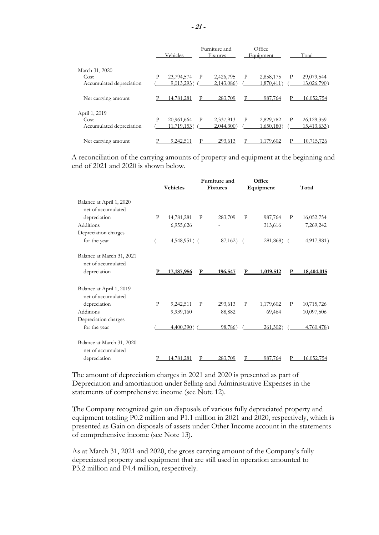|                                  | Vehicles |                          | Furniture and<br>Fixtures |                        | Office<br>Equipment |                        |   | Total                     |
|----------------------------------|----------|--------------------------|---------------------------|------------------------|---------------------|------------------------|---|---------------------------|
| March 31, 2020                   |          |                          |                           |                        |                     |                        |   |                           |
| Cost<br>Accumulated depreciation | Р        | 23,794,574<br>9,013,293) | $\mathbf{P}$              | 2,426,795<br>2,143,086 | P                   | 2,858,175<br>1,870,411 | P | 29,079,544<br>13,026,790) |
| Net carrying amount              |          | 14 781 281               |                           | 283.709                |                     | 987.764                |   | 16.052.754                |
| April 1, 2019                    |          |                          |                           |                        |                     |                        |   |                           |
| Cost                             | P        | 20,961,664               | P                         | 2,337,913              | $\mathbf{P}$        | 2,829,782              | P | 26,129,359                |
| Accumulated depreciation         |          | 11,719,153)              |                           | 2,044,300              |                     | 1,650,180              |   | 15,413,633)               |
| Net carrying amount              |          | .242.511                 |                           | 293.613                |                     | 79.602                 |   | $\left( \right)$          |

A reconciliation of the carrying amounts of property and equipment at the beginning and end of 2021 and 2020 is shown below.

|                                                 |   | <b>Vehicles</b>   |   | Furniture and<br><b>Fixtures</b> |   | Office<br>Equipment |              | Total      |  |
|-------------------------------------------------|---|-------------------|---|----------------------------------|---|---------------------|--------------|------------|--|
| Balance at April 1, 2020<br>net of accumulated  |   |                   |   |                                  |   |                     |              |            |  |
| depreciation                                    | P | 14,781,281        | P | 283,709                          | P | 987,764             | $\mathbf{P}$ | 16,052,754 |  |
| Additions                                       |   | 6,955,626         |   |                                  |   | 313,616             |              | 7,269,242  |  |
| Depreciation charges                            |   |                   |   |                                  |   |                     |              |            |  |
| for the year                                    |   | 4,548,951)        |   | 87,162                           |   | 281,868)            |              | 4,917,981) |  |
| Balance at March 31, 2021<br>net of accumulated |   |                   |   |                                  |   |                     |              |            |  |
| depreciation                                    | Р | <u>17,187,956</u> | P | 196.547                          |   | 1.019.512           | P            | 18.404.015 |  |
| Balance at April 1, 2019<br>net of accumulated  |   |                   |   |                                  |   |                     |              |            |  |
| depreciation                                    | P | 9,242,511         | P | 293,613                          | P | 1,179,602           | P            | 10,715,726 |  |
| <b>Additions</b>                                |   | 9,939,160         |   | 88,882                           |   | 69,464              |              | 10,097,506 |  |
| Depreciation charges                            |   |                   |   |                                  |   |                     |              |            |  |
| for the year                                    |   | 4,400,390)        |   | 98,786)                          |   | 261,302)            |              | 4,760,478) |  |
| Balance at March 31, 2020<br>net of accumulated |   |                   |   |                                  |   |                     |              |            |  |
| depreciation                                    |   | 14.781.281        |   | 283,709                          |   | 987.764             | р            | 16.052.754 |  |

The amount of depreciation charges in 2021 and 2020 is presented as part of Depreciation and amortization under Selling and Administrative Expenses in the statements of comprehensive income (see Note 12).

The Company recognized gain on disposals of various fully depreciated property and equipment totaling P0.2 million and P1.1 million in 2021 and 2020, respectively, which is presented as Gain on disposals of assets under Other Income account in the statements of comprehensive income (see Note 13).

As at March 31, 2021 and 2020, the gross carrying amount of the Company's fully depreciated property and equipment that are still used in operation amounted to P3.2 million and P4.4 million, respectively.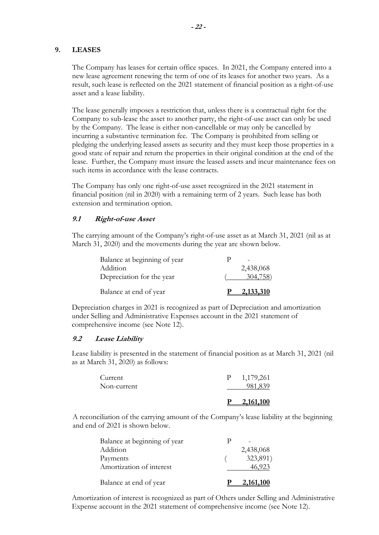### **9. LEASES**

The Company has leases for certain office spaces. In 2021, the Company entered into a new lease agreement renewing the term of one of its leases for another two years. As a result, such lease is reflected on the 2021 statement of financial position as a right-of-use asset and a lease liability.

The lease generally imposes a restriction that, unless there is a contractual right for the Company to sub-lease the asset to another party, the right-of-use asset can only be used by the Company. The lease is either non-cancellable or may only be cancelled by incurring a substantive termination fee. The Company is prohibited from selling or pledging the underlying leased assets as security and they must keep those properties in a good state of repair and return the properties in their original condition at the end of the lease. Further, the Company must insure the leased assets and incur maintenance fees on such items in accordance with the lease contracts.

The Company has only one right-of-use asset recognized in the 2021 statement in financial position (nil in 2020) with a remaining term of 2 years. Such lease has both extension and termination option.

### **9.1 Right-of-use Asset**

The carrying amount of the Company's right-of-use asset as at March 31, 2021 (nil as at March 31, 2020) and the movements during the year are shown below.

| Balance at beginning of year |           |
|------------------------------|-----------|
| Addition                     | 2,438,068 |
| Depreciation for the year    | 304,758)  |
| Balance at end of year       | 2,133,310 |

Depreciation charges in 2021 is recognized as part of Depreciation and amortization under Selling and Administrative Expenses account in the 2021 statement of comprehensive income (see Note 12).

### **9.2 Lease Liability**

Lease liability is presented in the statement of financial position as at March 31, 2021 (nil as at March 31, 2020) as follows:

|             | P. | 2,161,100       |
|-------------|----|-----------------|
| Non-current |    | 981,839         |
| Current     |    | $P = 1,179,261$ |

A reconciliation of the carrying amount of the Company's lease liability at the beginning and end of 2021 is shown below.

| Balance at beginning of year |           |
|------------------------------|-----------|
| Addition                     | 2,438,068 |
| Payments                     | 323,891)  |
| Amortization of interest     | 46.923    |
| Balance at end of year       | 2,161,100 |

Amortization of interest is recognized as part of Others under Selling and Administrative Expense account in the 2021 statement of comprehensive income (see Note 12).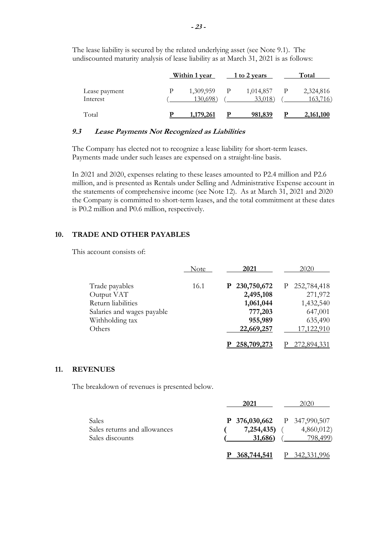|                           | <u>Within 1 year</u> | 1 to 2 years         | Total                 |
|---------------------------|----------------------|----------------------|-----------------------|
| Lease payment<br>Interest | 1,309,959<br>130,698 | 1,014,857<br>33,018) | 2,324,816<br>163,716) |
| Total                     | 1,179,261            | 981,839              | 2,161,100             |

The lease liability is secured by the related underlying asset (see Note 9.1). The undiscounted maturity analysis of lease liability as at March 31, 2021 is as follows:

## **9.3 Lease Payments Not Recognized as Liabilities**

The Company has elected not to recognize a lease liability for short-term leases. Payments made under such leases are expensed on a straight-line basis.

In 2021 and 2020, expenses relating to these leases amounted to P2.4 million and P2.6 million, and is presented as Rentals under Selling and Administrative Expense account in the statements of comprehensive income (see Note 12). As at March 31, 2021 and 2020 the Company is committed to short-term leases, and the total commitment at these dates is P0.2 million and P0.6 million, respectively.

## **10. TRADE AND OTHER PAYABLES**

This account consists of:

|                            | Note | 2021               | 2020               |
|----------------------------|------|--------------------|--------------------|
| Trade payables             | 16.1 | P 230,750,672      | P 252,784,418      |
| Output VAT                 |      | 2,495,108          | 271,972            |
| Return liabilities         |      | 1,061,044          | 1,432,540          |
| Salaries and wages payable |      | 777,203            | 647,001            |
| Withholding tax            |      | 955,989            | 635,490            |
| Others                     |      | 22,669,257         | 17,122,910         |
|                            |      | <u>258,709,273</u> | <u>272,894,331</u> |

#### **11. REVENUES**

The breakdown of revenues is presented below.

|                              | 2021                               |                     |
|------------------------------|------------------------------------|---------------------|
| Sales                        | <b>P</b> 376,030,662 P 347,990,507 |                     |
| Sales returns and allowances | 7,254,435) (                       | 4,860,012)          |
| Sales discounts              | 31,686)                            | $-798,499$          |
|                              | 368,744,541                        | 3 <u>42,331,996</u> |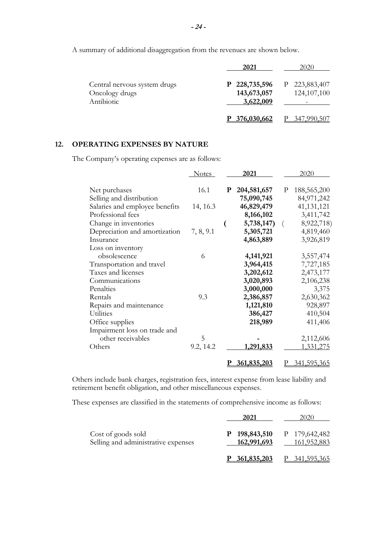A summary of additional disaggregation from the revenues are shown below.

|                              | 2021                         | 2020                           |
|------------------------------|------------------------------|--------------------------------|
| Central nervous system drugs | P 228,735,596<br>143,673,057 | P 223,883,407<br>124, 107, 100 |
| Oncology drugs<br>Antibiotic | 3,622,009                    |                                |
|                              | 376,030,662                  |                                |

## **12. OPERATING EXPENSES BY NATURE**

The Company's operating expenses are as follows:

|                                                     | <b>Notes</b>   |   | 2021                      |              | 2020                      |
|-----------------------------------------------------|----------------|---|---------------------------|--------------|---------------------------|
| Net purchases<br>Selling and distribution           | 16.1           | P | 204,581,657<br>75,090,745 | $\mathbf{p}$ | 188,565,200<br>84,971,242 |
| Salaries and employee benefits<br>Professional fees | 14, 16.3       |   | 46,829,479                |              | 41, 131, 121              |
| Change in inventories                               |                |   | 8,166,102<br>5,738,147)   |              | 3,411,742<br>8,922,718)   |
| Depreciation and amortization<br>Insurance          | 7, 8, 9.1      |   | 5,305,721<br>4,863,889    |              | 4,819,460<br>3,926,819    |
| Loss on inventory<br>obsolescence                   | 6              |   | 4, 141, 921               |              | 3,557,474                 |
| Transportation and travel<br>Taxes and licenses     |                |   | 3,964,415<br>3,202,612    |              | 7,727,185<br>2,473,177    |
| Communications<br>Penalties                         |                |   | 3,020,893<br>3,000,000    |              | 2,106,238<br>3,375        |
| Rentals<br>Repairs and maintenance                  | 9.3            |   | 2,386,857<br>1,121,810    |              | 2,630,362<br>928,897      |
| Utilities<br>Office supplies                        |                |   | 386,427<br>218,989        |              | 410,504<br>411,406        |
| Impairment loss on trade and                        |                |   |                           |              |                           |
| other receivables<br>Others                         | 5<br>9.2, 14.2 |   | 1,291,833                 |              | 2,112,606<br>1,331,275    |
|                                                     |                |   | 361,835,203               |              | <u>341,595,365</u>        |

Others include bank charges, registration fees, interest expense from lease liability and retirement benefit obligation, and other miscellaneous expenses.

These expenses are classified in the statements of comprehensive income as follows:

|                                                           | 2021                       | 2020                           |
|-----------------------------------------------------------|----------------------------|--------------------------------|
| Cost of goods sold<br>Selling and administrative expenses | 198,843,510<br>162,991,693 | P 179,642,482<br>161, 952, 883 |
|                                                           | P 361,835,203              | <u>P 341,595,365</u>           |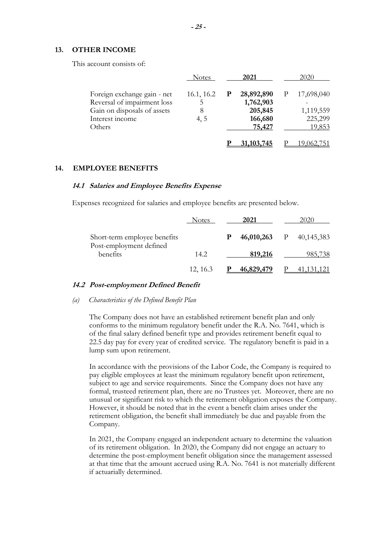#### **13. OTHER INCOME**

This account consists of:

|                             | 2021<br><b>Notes</b> |   |              | 2020       |
|-----------------------------|----------------------|---|--------------|------------|
| Foreign exchange gain - net | 16.1, 16.2           | Р | 28,892,890   | 17,698,040 |
| Reversal of impairment loss | 5                    |   | 1,762,903    |            |
| Gain on disposals of assets | 8                    |   | 205,845      | 1,119,559  |
| Interest income             | 4, 5                 |   | 166,680      | 225,299    |
| Others                      |                      |   | 75,427       | 19,853     |
|                             |                      |   | 31, 103, 745 | 19,062,751 |

#### **14. EMPLOYEE BENEFITS**

### **14.1 Salaries and Employee Benefits Expense**

Expenses recognized for salaries and employee benefits are presented below.

|                                                         | <b>Notes</b> | 2021 |                         | 2020    |
|---------------------------------------------------------|--------------|------|-------------------------|---------|
| Short-term employee benefits<br>Post-employment defined |              |      | 46,010,263 P 40,145,383 |         |
| benefits                                                | 14.2         |      | 819,216                 | 985,738 |
|                                                         | 12, 16.3     |      | 46,829,479              |         |

#### **14.2 Post-employment Defined Benefit**

#### *(a) Characteristics of the Defined Benefit Plan*

The Company does not have an established retirement benefit plan and only conforms to the minimum regulatory benefit under the R.A. No. 7641, which is of the final salary defined benefit type and provides retirement benefit equal to 22.5 day pay for every year of credited service. The regulatory benefit is paid in a lump sum upon retirement.

In accordance with the provisions of the Labor Code, the Company is required to pay eligible employees at least the minimum regulatory benefit upon retirement, subject to age and service requirements. Since the Company does not have any formal, trusteed retirement plan, there are no Trustees yet. Moreover, there are no unusual or significant risk to which the retirement obligation exposes the Company. However, it should be noted that in the event a benefit claim arises under the retirement obligation, the benefit shall immediately be due and payable from the Company.

In 2021, the Company engaged an independent actuary to determine the valuation of its retirement obligation. In 2020, the Company did not engage an actuary to determine the post-employment benefit obligation since the management assessed at that time that the amount accrued using R.A. No. 7641 is not materially different if actuarially determined.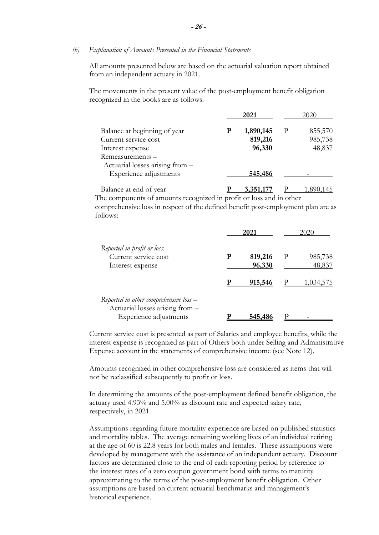*(b) Explanation of Amounts Presented in the Financial Statements*

All amounts presented below are based on the actuarial valuation report obtained from an independent actuary in 2021.

The movements in the present value of the post-employment benefit obligation recognized in the books are as follows:

|                                 |   | 2021      |   | 2020    |
|---------------------------------|---|-----------|---|---------|
| Balance at beginning of year    | Р | 1,890,145 | P | 855,570 |
| Current service cost            |   | 819,216   |   | 985,738 |
| Interest expense                |   | 96,330    |   | 48,837  |
| Remeasurements -                |   |           |   |         |
| Actuarial losses arising from - |   |           |   |         |
| Experience adjustments          |   | 545,486   |   |         |
| Balance at end of year          |   | 3,351,17  |   |         |

The components of amounts recognized in profit or loss and in other comprehensive loss in respect of the defined benefit post-employment plan are as follows:

|                                                                                                     | 2021 |                   | 2020         |                   |
|-----------------------------------------------------------------------------------------------------|------|-------------------|--------------|-------------------|
| Reported in profit or loss:<br>Current service cost<br>Interest expense                             | P    | 819,216<br>96,330 | $\mathbf{P}$ | 985,738<br>48,837 |
|                                                                                                     |      | 915,546           |              |                   |
| Reported in other comprehensive loss –<br>Actuarial losses arising from -<br>Experience adjustments |      |                   |              |                   |

Current service cost is presented as part of Salaries and employee benefits, while the interest expense is recognized as part of Others both under Selling and Administrative Expense account in the statements of comprehensive income (see Note 12).

Amounts recognized in other comprehensive loss are considered as items that will not be reclassified subsequently to profit or loss.

In determining the amounts of the post-employment defined benefit obligation, the actuary used 4.93% and 5.00% as discount rate and expected salary rate, respectively, in 2021.

Assumptions regarding future mortality experience are based on published statistics and mortality tables. The average remaining working lives of an individual retiring at the age of 60 is 22.8 years for both males and females. These assumptions were developed by management with the assistance of an independent actuary. Discount factors are determined close to the end of each reporting period by reference to the interest rates of a zero coupon government bond with terms to maturity approximating to the terms of the post-employment benefit obligation. Other assumptions are based on current actuarial benchmarks and management's historical experience.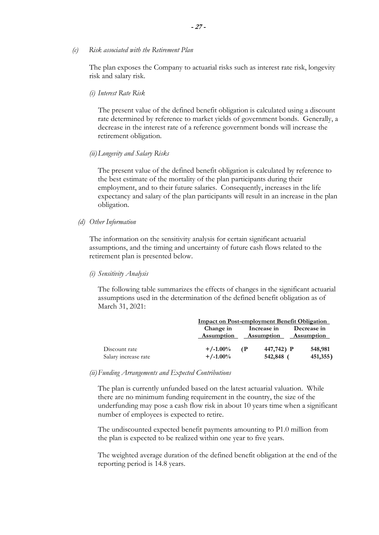#### *(c) Risk associated with the Retirement Plan*

The plan exposes the Company to actuarial risks such as interest rate risk, longevity risk and salary risk.

*(i) Interest Rate Risk*

The present value of the defined benefit obligation is calculated using a discount rate determined by reference to market yields of government bonds. Generally, a decrease in the interest rate of a reference government bonds will increase the retirement obligation.

*(ii)Longevity and Salary Risks*

The present value of the defined benefit obligation is calculated by reference to the best estimate of the mortality of the plan participants during their employment, and to their future salaries. Consequently, increases in the life expectancy and salary of the plan participants will result in an increase in the plan obligation.

*(d) Other Information*

The information on the sensitivity analysis for certain significant actuarial assumptions, and the timing and uncertainty of future cash flows related to the retirement plan is presented below.

#### *(i) Sensitivity Analysis*

The following table summarizes the effects of changes in the significant actuarial assumptions used in the determination of the defined benefit obligation as of March 31, 2021:

|                      |            | <b>Impact on Post-employment Benefit Obligation</b> |            |  |  |  |  |
|----------------------|------------|-----------------------------------------------------|------------|--|--|--|--|
|                      | Change in  | Increase in                                         |            |  |  |  |  |
|                      | Assumption | Assumption                                          | Assumption |  |  |  |  |
| Discount rate        | $+/-1.00%$ | 447,742) P<br>(P                                    | 548,981    |  |  |  |  |
| Salary increase rate | $+/-1.00%$ | 542,848 (                                           | 451,355)   |  |  |  |  |

#### *(ii)Funding Arrangements and Expected Contributions*

The plan is currently unfunded based on the latest actuarial valuation. While there are no minimum funding requirement in the country, the size of the underfunding may pose a cash flow risk in about 10 years time when a significant number of employees is expected to retire.

The undiscounted expected benefit payments amounting to P1.0 million from the plan is expected to be realized within one year to five years.

The weighted average duration of the defined benefit obligation at the end of the reporting period is 14.8 years.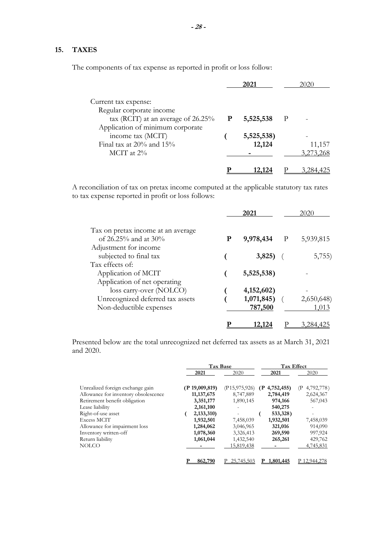### **15. TAXES**

The components of tax expense as reported in profit or loss follow:

|                                       |              | 2021       | 2020      |
|---------------------------------------|--------------|------------|-----------|
| Current tax expense:                  |              |            |           |
| Regular corporate income              |              |            |           |
| tax (RCIT) at an average of $26.25\%$ | $\mathbf{P}$ | 5,525,538  |           |
| Application of minimum corporate      |              |            |           |
| income tax (MCIT)                     |              | 5,525,538) |           |
| Final tax at $20\%$ and $15\%$        |              | 12,124     | 11,157    |
| $MCIT$ at $2\%$                       |              |            | 3,273,268 |
|                                       |              |            |           |
|                                       |              |            |           |

A reconciliation of tax on pretax income computed at the applicable statutory tax rates to tax expense reported in profit or loss follows:

|                                    |   | 2021       | 2020 |                   |  |
|------------------------------------|---|------------|------|-------------------|--|
| Tax on pretax income at an average |   |            |      |                   |  |
| of 26.25% and at 30%               | P | 9,978,434  | P    | 5,939,815         |  |
| Adjustment for income              |   |            |      |                   |  |
| subjected to final tax             |   | 3,825)     |      | 5,755)            |  |
| Tax effects of:                    |   |            |      |                   |  |
| Application of MCIT                |   | 5,525,538) |      |                   |  |
| Application of net operating       |   |            |      |                   |  |
| loss carry-over (NOLCO)            |   | 4,152,602) |      |                   |  |
| Unrecognized deferred tax assets   |   | 1,071,845  |      | 2,650,648)        |  |
| Non-deductible expenses            |   | 787,500    |      | 1,013             |  |
|                                    |   |            |      | 3, <u>284,425</u> |  |

Presented below are the total unrecognized net deferred tax assets as at March 31, 2021 and 2020.

|                                      | Tax Base |                |                 | Tax Effect |            |                 |
|--------------------------------------|----------|----------------|-----------------|------------|------------|-----------------|
|                                      |          | 2021           | 2020            |            | 2021       | 2020            |
| Unrealized foreign exchange gain     |          | (P 19,009,819) | (P15, 975, 926) | (P         | 4,752,455) | 4,792,778)<br>œ |
| Allowance for inventory obsolescence |          | 11, 137, 675   | 8,747,889       |            | 2,784,419  | 2,624,367       |
| Retirement benefit obligation        |          | 3,351,177      | 1,890,145       |            | 974,166    | 567,043         |
| Lease liability                      |          | 2,161,100      |                 |            | 540,275    |                 |
| Right-of-use asset                   |          | 2,133,310)     |                 |            | 533,328)   |                 |
| <b>Excess MCIT</b>                   |          | 1,932,501      | 7,458,039       |            | 1,932,501  | 7,458,039       |
| Allowance for impairment loss        |          | 1,284,062      | 3,046,965       |            | 321,016    | 914,090         |
| Inventory written-off                |          | 1,078,360      | 3,326,413       |            | 269,590    | 997,924         |
| Return liability                     |          | 1,061,044      | 1,432,540       |            | 265,261    | 429,762         |
| <b>NOLCO</b>                         |          |                | 15,819,438      |            |            | 4,745,831       |
|                                      |          | 862,790        | 25.745.503      |            | 1,801,445  | 12,944,278      |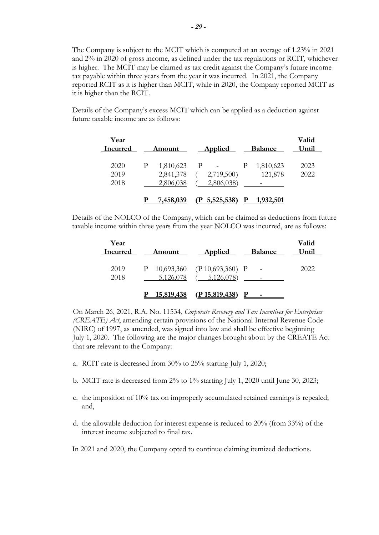The Company is subject to the MCIT which is computed at an average of 1.23% in 2021 and 2% in 2020 of gross income, as defined under the tax regulations or RCIT, whichever is higher. The MCIT may be claimed as tax credit against the Company's future income tax payable within three years from the year it was incurred. In 2021, the Company reported RCIT as it is higher than MCIT, while in 2020, the Company reported MCIT as it is higher than the RCIT.

Details of the Company's excess MCIT which can be applied as a deduction against future taxable income are as follows:

| Year<br>Incurred     |   | Amount                              |              | <b>Applied</b>          |   | <b>Balance</b>       | Valid<br>Until |
|----------------------|---|-------------------------------------|--------------|-------------------------|---|----------------------|----------------|
| 2020<br>2019<br>2018 | P | 1,810,623<br>2,841,378<br>2,806,038 | $\mathbf{P}$ | 2,719,500)<br>2,806,038 | P | 1,810,623<br>121,878 | 2023<br>2022   |
|                      |   | 7,458,039                           |              | <u>(P 5,525,538</u>     |   | 1.932.501            |                |

Details of the NOLCO of the Company, which can be claimed as deductions from future taxable income within three years from the year NOLCO was incurred, are as follows:

| Year<br>Incurred | <u>Amount</u>     | Applied                                      | <b>Balance</b> | Valid<br>Until |
|------------------|-------------------|----------------------------------------------|----------------|----------------|
| 2019<br>2018     | 5,126,078         | $10,693,360$ (P 10,693,360) P<br>(5,126,078) |                | 2022           |
|                  | <u>15,819,438</u> | (P 15,819,438)                               |                |                |

On March 26, 2021, R.A. No. 11534, *Corporate Recovery and Tax Incentives for Enterprises (CREATE) Act*, amending certain provisions of the National Internal Revenue Code (NIRC) of 1997, as amended, was signed into law and shall be effective beginning July 1, 2020. The following are the major changes brought about by the CREATE Act that are relevant to the Company:

- a. RCIT rate is decreased from 30% to 25% starting July 1, 2020;
- b. MCIT rate is decreased from 2% to 1% starting July 1, 2020 until June 30, 2023;
- c. the imposition of 10% tax on improperly accumulated retained earnings is repealed; and,
- d. the allowable deduction for interest expense is reduced to 20% (from 33%) of the interest income subjected to final tax.

In 2021 and 2020, the Company opted to continue claiming itemized deductions.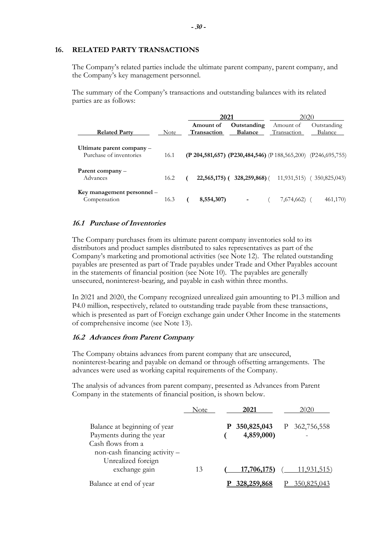#### **16. RELATED PARTY TRANSACTIONS**

The Company's related parties include the ultimate parent company, parent company, and the Company's key management personnel.

The summary of the Company's transactions and outstanding balances with its related parties are as follows:

|                                                      |      | 2021                                                          |                                                             | 2020                     |                        |  |
|------------------------------------------------------|------|---------------------------------------------------------------|-------------------------------------------------------------|--------------------------|------------------------|--|
| <b>Related Party</b>                                 | Note | Amount of<br>Transaction                                      | Outstanding<br><b>Balance</b>                               | Amount of<br>Transaction | Outstanding<br>Balance |  |
| Ultimate parent company –<br>Purchase of inventories | 16.1 | (P 204,581,657) (P230,484,546) (P 188,565,200) (P246,695,755) |                                                             |                          |                        |  |
| Parent company –<br>Advances                         | 16.2 |                                                               | <b>22,565,175)</b> (328,259,868) (11,931,515) (350,825,043) |                          |                        |  |
| Key management personnel –<br>Compensation           | 16.3 | 8,554,307)                                                    |                                                             | 7,674,662)               | 461,170)               |  |

#### **16.1 Purchase of Inventories**

The Company purchases from its ultimate parent company inventories sold to its distributors and product samples distributed to sales representatives as part of the Company's marketing and promotional activities (see Note 12). The related outstanding payables are presented as part of Trade payables under Trade and Other Payables account in the statements of financial position (see Note 10). The payables are generally unsecured, noninterest-bearing, and payable in cash within three months.

In 2021 and 2020, the Company recognized unrealized gain amounting to P1.3 million and P4.0 million, respectively, related to outstanding trade payable from these transactions, which is presented as part of Foreign exchange gain under Other Income in the statements of comprehensive income (see Note 13).

### **16.2 Advances from Parent Company**

The Company obtains advances from parent company that are unsecured, noninterest-bearing and payable on demand or through offsetting arrangements. The advances were used as working capital requirements of the Company.

The analysis of advances from parent company, presented as Advances from Parent Company in the statements of financial position, is shown below.

|                                                          | Note | 2021                | 2020                      |
|----------------------------------------------------------|------|---------------------|---------------------------|
| Balance at beginning of year<br>Payments during the year |      | P<br>4,859,000)     | 350,825,043 P 362,756,558 |
| Cash flows from a                                        |      |                     |                           |
| non-cash financing activity -                            |      |                     |                           |
| Unrealized foreign                                       |      |                     |                           |
| exchange gain                                            | 13   | <u>17,706,175</u> ) | $-11,931,515$             |
| Balance at end of year                                   |      | <u>328,259,868</u>  |                           |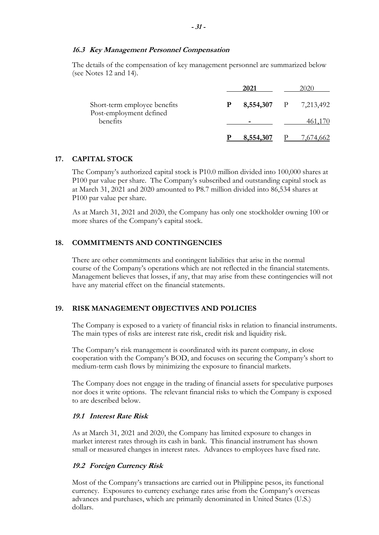### **16.3 Key Management Personnel Compensation**

The details of the compensation of key management personnel are summarized below (see Notes 12 and 14).

|                                                         |   | 2021      | 2020                  |
|---------------------------------------------------------|---|-----------|-----------------------|
| Short-term employee benefits<br>Post-employment defined | P |           | 8,554,307 P 7,213,492 |
| benefits                                                |   |           | 461,170               |
|                                                         |   | 8,554,307 | 6/4                   |

### **17. CAPITAL STOCK**

The Company's authorized capital stock is P10.0 million divided into 100,000 shares at P100 par value per share. The Company's subscribed and outstanding capital stock as at March 31, 2021 and 2020 amounted to P8.7 million divided into 86,534 shares at P100 par value per share.

As at March 31, 2021 and 2020, the Company has only one stockholder owning 100 or more shares of the Company's capital stock.

### **18. COMMITMENTS AND CONTINGENCIES**

There are other commitments and contingent liabilities that arise in the normal course of the Company's operations which are not reflected in the financial statements. Management believes that losses, if any, that may arise from these contingencies will not have any material effect on the financial statements.

### **19. RISK MANAGEMENT OBJECTIVES AND POLICIES**

The Company is exposed to a variety of financial risks in relation to financial instruments. The main types of risks are interest rate risk, credit risk and liquidity risk.

The Company's risk management is coordinated with its parent company, in close cooperation with the Company's BOD, and focuses on securing the Company's short to medium-term cash flows by minimizing the exposure to financial markets.

The Company does not engage in the trading of financial assets for speculative purposes nor does it write options. The relevant financial risks to which the Company is exposed to are described below.

### **19.1 Interest Rate Risk**

As at March 31, 2021 and 2020, the Company has limited exposure to changes in market interest rates through its cash in bank. This financial instrument has shown small or measured changes in interest rates. Advances to employees have fixed rate.

### **19.2 Foreign Currency Risk**

Most of the Company's transactions are carried out in Philippine pesos, its functional currency. Exposures to currency exchange rates arise from the Company's overseas advances and purchases, which are primarily denominated in United States (U.S.) dollars.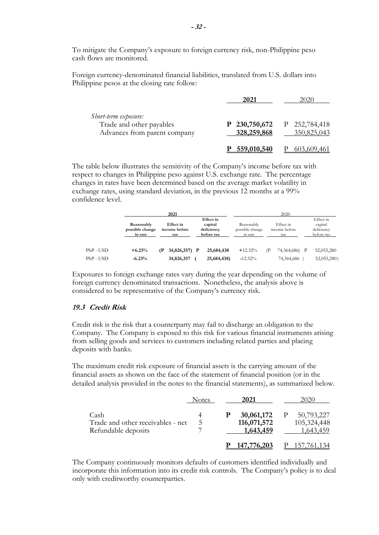To mitigate the Company's exposure to foreign currency risk, non-Philippine peso cash flows are monitored.

Foreign currency-denominated financial liabilities, translated from U.S. dollars into Philippine pesos at the closing rate follow:

|                                                                                  | 2021                         | 2020                         |
|----------------------------------------------------------------------------------|------------------------------|------------------------------|
| Short-term exposure:<br>Trade and other payables<br>Advances from parent company | P 230,750,672<br>328,259,868 | P 252,784,418<br>350,825,043 |
|                                                                                  | 559,010,540                  |                              |

The table below illustrates the sensitivity of the Company's income before tax with respect to changes in Philippine peso against U.S. exchange rate. The percentage changes in rates have been determined based on the average market volatility in exchange rates, using standard deviation, in the previous 12 months at a 99% confidence level.

|           |                                          |    | 2021                              |                                                  | 2020                                     |   |                                   |  |                                                  |
|-----------|------------------------------------------|----|-----------------------------------|--------------------------------------------------|------------------------------------------|---|-----------------------------------|--|--------------------------------------------------|
|           | Reasonably<br>possible change<br>in rate |    | Effect in<br>income before<br>tax | Effect in<br>capital<br>deficiency<br>before tax | Reasonably<br>possible change<br>in rate |   | Effect in<br>income before<br>tax |  | Effect in<br>capital<br>deficiency<br>before tax |
| PhP - USD | $+6.23%$                                 | (P | 34,826,357) P                     | 25,684,438                                       | $+12.32%$                                | œ | 74,364,686) P                     |  | 52,055,280                                       |
| PhP - USD | $-6.23%$                                 |    | 34,826,357                        | 25,684,438)                                      | $-12.32%$                                |   | 74,364,686                        |  | 52,055,280                                       |

Exposures to foreign exchange rates vary during the year depending on the volume of foreign currency denominated transactions. Nonetheless, the analysis above is considered to be representative of the Company's currency risk.

### **19.3 Credit Risk**

Credit risk is the risk that a counterparty may fail to discharge an obligation to the Company. The Company is exposed to this risk for various financial instruments arising from selling goods and services to customers including related parties and placing deposits with banks.

The maximum credit risk exposure of financial assets is the carrying amount of the financial assets as shown on the face of the statement of financial position (or in the detailed analysis provided in the notes to the financial statements), as summarized below.

|                                                                  | Notes                    | 2021                                   | 2020                                   |
|------------------------------------------------------------------|--------------------------|----------------------------------------|----------------------------------------|
| Cash<br>Trade and other receivables - net<br>Refundable deposits | $\overline{\phantom{a}}$ | 30,061,172<br>116,071,572<br>1,643,459 | 50,793,227<br>105,324,448<br>1,643,459 |
|                                                                  |                          | 147,776,203                            |                                        |

The Company continuously monitors defaults of customers identified individually and incorporate this information into its credit risk controls. The Company's policy is to deal only with creditworthy counterparties.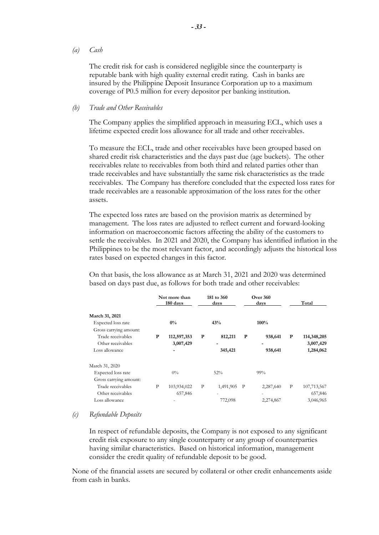*(a) Cash* 

The credit risk for cash is considered negligible since the counterparty is reputable bank with high quality external credit rating. Cash in banks are insured by the Philippine Deposit Insurance Corporation up to a maximum coverage of P0.5 million for every depositor per banking institution.

#### *(b) Trade and Other Receivables*

The Company applies the simplified approach in measuring ECL, which uses a lifetime expected credit loss allowance for all trade and other receivables.

To measure the ECL, trade and other receivables have been grouped based on shared credit risk characteristics and the days past due (age buckets). The other receivables relate to receivables from both third and related parties other than trade receivables and have substantially the same risk characteristics as the trade receivables. The Company has therefore concluded that the expected loss rates for trade receivables are a reasonable approximation of the loss rates for the other assets.

The expected loss rates are based on the provision matrix as determined by management. The loss rates are adjusted to reflect current and forward-looking information on macroeconomic factors affecting the ability of the customers to settle the receivables. In 2021 and 2020, the Company has identified inflation in the Philippines to be the most relevant factor, and accordingly adjusts the historical loss rates based on expected changes in this factor.

On that basis, the loss allowance as at March 31, 2021 and 2020 was determined based on days past due, as follows for both trade and other receivables:

|                                                                                    |   | Not more than<br>180 days                  |   | 181 to 360<br>days   |   | <b>Over 360</b><br>days    |   | Total                                 |
|------------------------------------------------------------------------------------|---|--------------------------------------------|---|----------------------|---|----------------------------|---|---------------------------------------|
| March 31, 2021<br>Expected loss rate                                               |   | $0\%$                                      |   | 43%                  |   | 100%                       |   |                                       |
| Gross carrying amount:<br>Trade receivables<br>Other receivables<br>Loss allowance | P | 112,597,353<br>3,007,429<br>$\blacksquare$ | P | 812,211<br>345,421   | P | 938,641<br>$\,$<br>938,641 | P | 114,348,205<br>3,007,429<br>1,284,062 |
| March 31, 2020<br>Expected loss rate<br>Gross carrying amount:                     |   | $0\%$                                      |   | 52%                  |   | 99%                        |   |                                       |
| Trade receivables<br>Other receivables<br>Loss allowance                           | P | 103,934,022<br>657,846                     | P | 1,491,905<br>772,098 | P | 2,287,640<br>2,274,867     | P | 107,713,567<br>657,846<br>3,046,965   |

#### *(c) Refundable Deposits*

In respect of refundable deposits, the Company is not exposed to any significant credit risk exposure to any single counterparty or any group of counterparties having similar characteristics. Based on historical information, management consider the credit quality of refundable deposit to be good.

None of the financial assets are secured by collateral or other credit enhancements aside from cash in banks.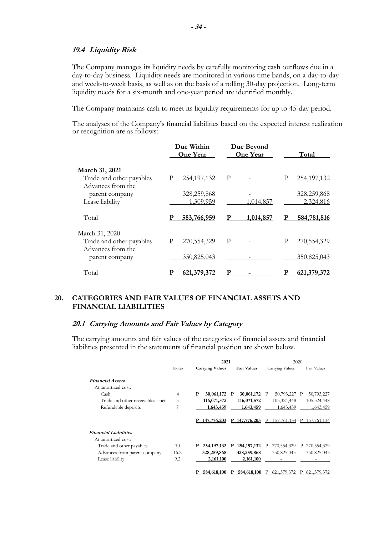#### **19.4 Liquidity Risk**

The Company manages its liquidity needs by carefully monitoring cash outflows due in a day-to-day business. Liquidity needs are monitored in various time bands, on a day-to-day and week-to-week basis, as well as on the basis of a rolling 30-day projection. Long-term liquidity needs for a six-month and one-year period are identified monthly.

The Company maintains cash to meet its liquidity requirements for up to 45-day period.

The analyses of the Company's financial liabilities based on the expected interest realization or recognition are as follows:

|                                                                 |   | Due Within<br><b>One Year</b> |   | Due Beyond<br><b>One Year</b> |   | Total                    |
|-----------------------------------------------------------------|---|-------------------------------|---|-------------------------------|---|--------------------------|
| March 31, 2021<br>Trade and other payables                      | P | 254, 197, 132                 | P |                               | P | 254, 197, 132            |
| Advances from the<br>parent company<br>Lease liability          |   | 328,259,868<br>1,309,959      |   | 1,014,857                     |   | 328,259,868<br>2,324,816 |
| Total                                                           |   | 583,766,959                   | Р | 1,014,857                     | Р | 584,781,816              |
| March 31, 2020<br>Trade and other payables<br>Advances from the | P | 270,554,329                   | P |                               | P | 270, 554, 329            |
| parent company                                                  |   | 350,825,043                   |   |                               |   | 350,825,043              |
| Total                                                           |   | 621,379,372                   | р |                               |   | 621,379,372              |

## **20. CATEGORIES AND FAIR VALUES OF FINANCIAL ASSETS AND FINANCIAL LIABILITIES**

### **20.1 Carrying Amounts and Fair Values by Category**

The carrying amounts and fair values of the categories of financial assets and financial liabilities presented in the statements of financial position are shown below.

|                                   |              | 2021                   |                    | 2020              |                  |  |
|-----------------------------------|--------------|------------------------|--------------------|-------------------|------------------|--|
|                                   | <b>Notes</b> | <b>Carrying Values</b> | <b>Fair Values</b> | Carrying Values   | Fair Values      |  |
| <b>Financial Assets</b>           |              |                        |                    |                   |                  |  |
| At amortized cost:                |              |                        |                    |                   |                  |  |
| Cash                              | 4            | P<br>30,061,172 P      | 30,061,172         | 50,793,227 P<br>P | 50,793,227       |  |
| Trade and other receivables - net | 5            | 116,071,572            | 116,071,572        | 105,324,448       | 105,324,448      |  |
| Refundable deposits               |              | 1,643,459              | 1,643,459          | 1,643,459         | 1,643,459        |  |
|                                   |              | 147,776,203            | P 147,776,203      | 157.761.134       | 157.761.134      |  |
| <b>Financial Liabilities</b>      |              |                        |                    |                   |                  |  |
| At amortized cost:                |              |                        |                    |                   |                  |  |
| Trade and other payables          | 10           | 254, 197, 132<br>P     | 254, 197, 132<br>P | 270,554,329<br>P  | 270,554,329<br>P |  |
| Advances from parent company      | 16.2         | 328,259,868            | 328,259,868        | 350,825,043       | 350,825,043      |  |
| Lease liability                   | 9.2          | 2,161,100              | 2,161,100          |                   |                  |  |
|                                   |              | 584,618,100            | 584,618,100        | 621, 379, 372     | 621,379,372      |  |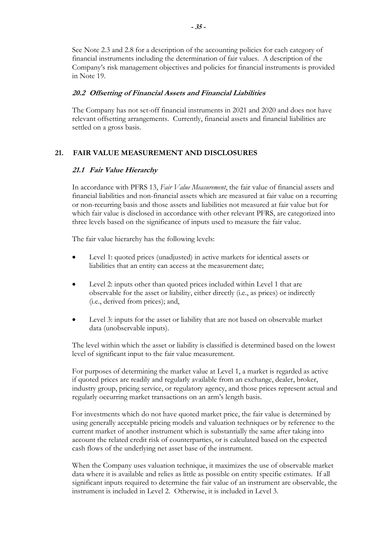See Note 2.3 and 2.8 for a description of the accounting policies for each category of financial instruments including the determination of fair values. A description of the Company's risk management objectives and policies for financial instruments is provided in Note 19.

### **20.2 Offsetting of Financial Assets and Financial Liabilities**

The Company has not set-off financial instruments in 2021 and 2020 and does not have relevant offsetting arrangements. Currently, financial assets and financial liabilities are settled on a gross basis.

## **21. FAIR VALUE MEASUREMENT AND DISCLOSURES**

### **21.1 Fair Value Hierarchy**

In accordance with PFRS 13, *Fair Value Measurement*, the fair value of financial assets and financial liabilities and non-financial assets which are measured at fair value on a recurring or non-recurring basis and those assets and liabilities not measured at fair value but for which fair value is disclosed in accordance with other relevant PFRS, are categorized into three levels based on the significance of inputs used to measure the fair value.

The fair value hierarchy has the following levels:

- Level 1: quoted prices (unadjusted) in active markets for identical assets or liabilities that an entity can access at the measurement date;
- Level 2: inputs other than quoted prices included within Level 1 that are observable for the asset or liability, either directly (i.e., as prices) or indirectly (i.e., derived from prices); and,
- Level 3: inputs for the asset or liability that are not based on observable market data (unobservable inputs).

The level within which the asset or liability is classified is determined based on the lowest level of significant input to the fair value measurement.

For purposes of determining the market value at Level 1, a market is regarded as active if quoted prices are readily and regularly available from an exchange, dealer, broker, industry group, pricing service, or regulatory agency, and those prices represent actual and regularly occurring market transactions on an arm's length basis.

For investments which do not have quoted market price, the fair value is determined by using generally acceptable pricing models and valuation techniques or by reference to the current market of another instrument which is substantially the same after taking into account the related credit risk of counterparties, or is calculated based on the expected cash flows of the underlying net asset base of the instrument.

When the Company uses valuation technique, it maximizes the use of observable market data where it is available and relies as little as possible on entity specific estimates. If all significant inputs required to determine the fair value of an instrument are observable, the instrument is included in Level 2. Otherwise, it is included in Level 3.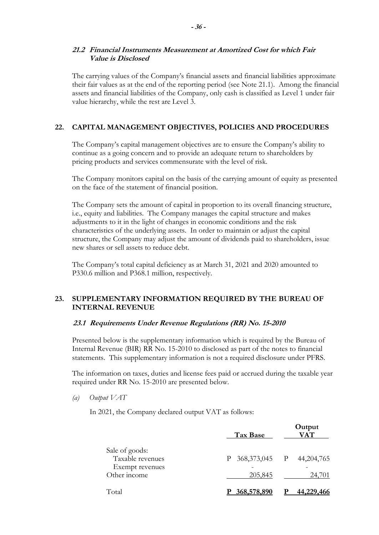## **21.2 Financial Instruments Measurement at Amortized Cost for which Fair Value is Disclosed**

The carrying values of the Company's financial assets and financial liabilities approximate their fair values as at the end of the reporting period (see Note 21.1). Among the financial assets and financial liabilities of the Company, only cash is classified as Level 1 under fair value hierarchy, while the rest are Level 3.

## **22. CAPITAL MANAGEMENT OBJECTIVES, POLICIES AND PROCEDURES**

The Company's capital management objectives are to ensure the Company's ability to continue as a going concern and to provide an adequate return to shareholders by pricing products and services commensurate with the level of risk.

The Company monitors capital on the basis of the carrying amount of equity as presented on the face of the statement of financial position.

The Company sets the amount of capital in proportion to its overall financing structure, i.e., equity and liabilities. The Company manages the capital structure and makes adjustments to it in the light of changes in economic conditions and the risk characteristics of the underlying assets. In order to maintain or adjust the capital structure, the Company may adjust the amount of dividends paid to shareholders, issue new shares or sell assets to reduce debt.

The Company's total capital deficiency as at March 31, 2021 and 2020 amounted to P330.6 million and P368.1 million, respectively.

## **23. SUPPLEMENTARY INFORMATION REQUIRED BY THE BUREAU OF INTERNAL REVENUE**

### **23.1 Requirements Under Revenue Regulations (RR) No. 15-2010**

Presented below is the supplementary information which is required by the Bureau of Internal Revenue (BIR) RR No. 15-2010 to disclosed as part of the notes to financial statements. This supplementary information is not a required disclosure under PFRS.

The information on taxes, duties and license fees paid or accrued during the taxable year required under RR No. 15-2010 are presented below.

*(a) Output VAT*

In 2021, the Company declared output VAT as follows:

|                                                                       | <b>Tax Base</b>            | Output<br><b>VAT</b>   |
|-----------------------------------------------------------------------|----------------------------|------------------------|
| Sale of goods:<br>Taxable revenues<br>Exempt revenues<br>Other income | P 368,373,045 P<br>205,845 | 44, 204, 765<br>24,701 |
| Total                                                                 | 368,578,890                |                        |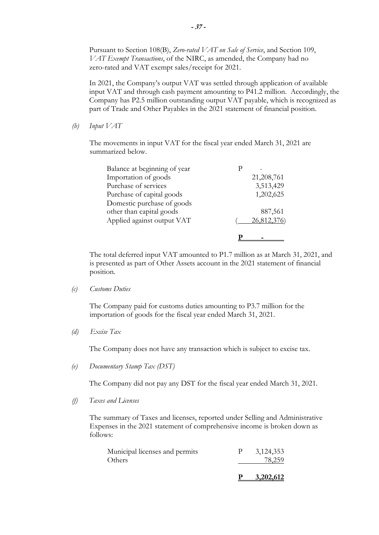Pursuant to Section 108(B), *Zero-rated VAT on Sale of Service*, and Section 109, *VAT Exempt Transactions*, of the NIRC, as amended, the Company had no zero-rated and VAT exempt sales/receipt for 2021.

In 2021, the Company's output VAT was settled through application of available input VAT and through cash payment amounting to P41.2 million. Accordingly, the Company has P2.5 million outstanding output VAT payable, which is recognized as part of Trade and Other Payables in the 2021 statement of financial position.

*(b) Input VAT*

The movements in input VAT for the fiscal year ended March 31, 2021 are summarized below.

| Balance at beginning of year |             |
|------------------------------|-------------|
| Importation of goods         | 21,208,761  |
| Purchase of services         | 3,513,429   |
| Purchase of capital goods    | 1,202,625   |
| Domestic purchase of goods   |             |
| other than capital goods     | 887,561     |
| Applied against output VAT   | 26,812,376) |
|                              |             |
|                              |             |

The total deferred input VAT amounted to P1.7 million as at March 31, 2021, and is presented as part of Other Assets account in the 2021 statement of financial position.

*(c) Customs Duties*

The Company paid for customs duties amounting to P3.7 million for the importation of goods for the fiscal year ended March 31, 2021.

*(d) Excise Tax*

The Company does not have any transaction which is subject to excise tax.

*(e) Documentary Stamp Tax (DST)*

The Company did not pay any DST for the fiscal year ended March 31, 2021.

*(f) Taxes and Licenses*

The summary of Taxes and licenses, reported under Selling and Administrative Expenses in the 2021 statement of comprehensive income is broken down as follows:

|                                | 3,202,612 |
|--------------------------------|-----------|
| <b>Others</b>                  | 78.259    |
| Municipal licenses and permits | 3,124,353 |